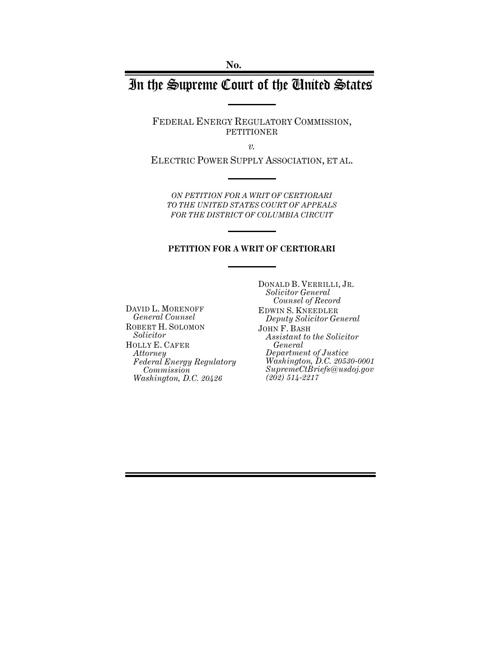# In the Supreme Court of the United States

FEDERAL ENERGY REGULATORY COMMISSION, PETITIONER

*v.*

ELECTRIC POWER SUPPLY ASSOCIATION, ET AL.

*ON PETITION FOR A WRIT OF CERTIORARI TO THE UNITED STATES COURT OF APPEALS FOR THE DISTRICT OF COLUMBIA CIRCUIT*

## **PETITION FOR A WRIT OF CERTIORARI**

DAVID L. MORENOFF *General Counsel* ROBERT H. SOLOMON *Solicitor* HOLLY E. CAFER *Attorney Federal Energy Regulatory Commission Washington, D.C. 20426*

DONALD B. VERRILLI, JR. *Solicitor General Counsel of Record* EDWIN S. KNEEDLER *Deputy Solicitor General* JOHN F. BASH *Assistant to the Solicitor General Department of Justice Washington, D.C. 20530-0001 SupremeCtBriefs@usdoj.gov (202) 514-2217*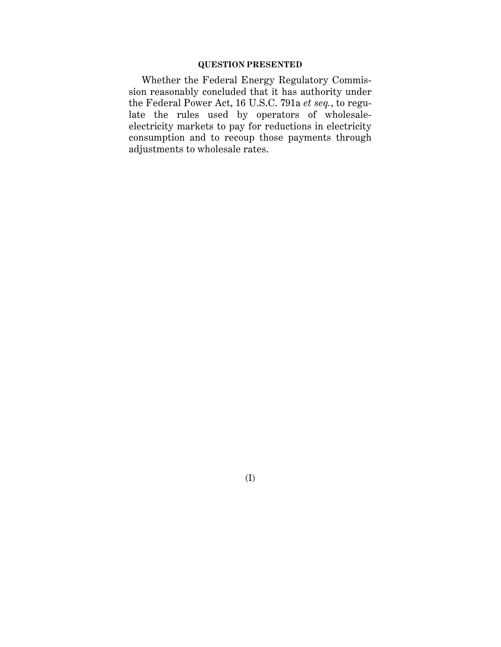# **QUESTION PRESENTED**

Whether the Federal Energy Regulatory Commission reasonably concluded that it has authority under the Federal Power Act, 16 U.S.C. 791a *et seq.*, to regulate the rules used by operators of wholesaleelectricity markets to pay for reductions in electricity consumption and to recoup those payments through adjustments to wholesale rates.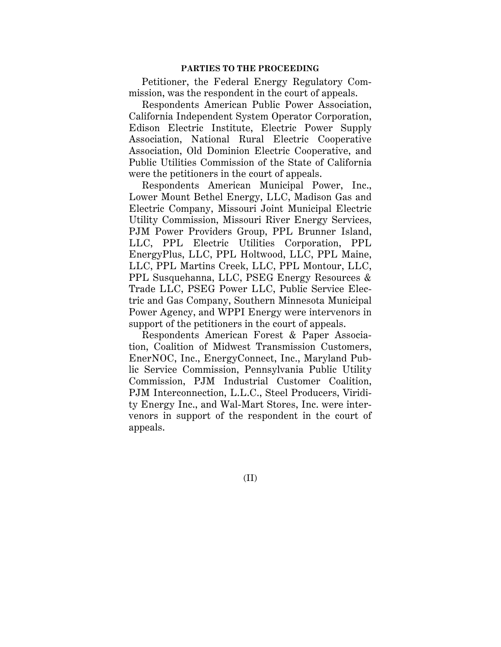#### **PARTIES TO THE PROCEEDING**

Petitioner, the Federal Energy Regulatory Commission, was the respondent in the court of appeals.

Respondents American Public Power Association, California Independent System Operator Corporation, Edison Electric Institute, Electric Power Supply Association, National Rural Electric Cooperative Association, Old Dominion Electric Cooperative, and Public Utilities Commission of the State of California were the petitioners in the court of appeals.

Respondents American Municipal Power, Inc., Lower Mount Bethel Energy, LLC, Madison Gas and Electric Company, Missouri Joint Municipal Electric Utility Commission, Missouri River Energy Services, PJM Power Providers Group, PPL Brunner Island, LLC, PPL Electric Utilities Corporation, PPL EnergyPlus, LLC, PPL Holtwood, LLC, PPL Maine, LLC, PPL Martins Creek, LLC, PPL Montour, LLC, PPL Susquehanna, LLC, PSEG Energy Resources & Trade LLC, PSEG Power LLC, Public Service Electric and Gas Company, Southern Minnesota Municipal Power Agency, and WPPI Energy were intervenors in support of the petitioners in the court of appeals.

Respondents American Forest & Paper Association, Coalition of Midwest Transmission Customers, EnerNOC, Inc., EnergyConnect, Inc., Maryland Public Service Commission, Pennsylvania Public Utility Commission, PJM Industrial Customer Coalition, PJM Interconnection, L.L.C., Steel Producers, Viridity Energy Inc., and Wal-Mart Stores, Inc. were intervenors in support of the respondent in the court of appeals.

 $(II)$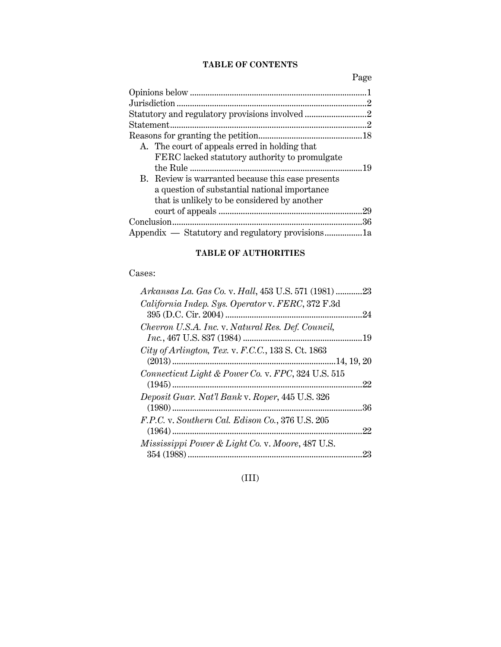# **TABLE OF CONTENTS**

Page

| A. The court of appeals erred in holding that     |     |
|---------------------------------------------------|-----|
| FERC lacked statutory authority to promulgate     |     |
|                                                   | .19 |
| B. Review is warranted because this case presents |     |
| a question of substantial national importance     |     |
| that is unlikely to be considered by another      |     |
|                                                   | 29  |
|                                                   | 36  |
| Appendix — Statutory and regulatory provisions1a  |     |

# **TABLE OF AUTHORITIES**

# Cases:

| Arkansas La. Gas Co. v. Hall, 453 U.S. 571 (1981) 23 |
|------------------------------------------------------|
| California Indep. Sys. Operator v. FERC, 372 F.3d    |
|                                                      |
| Chevron U.S.A. Inc. v. Natural Res. Def. Council,    |
|                                                      |
| City of Arlington, Tex. v. F.C.C., 133 S. Ct. 1863   |
|                                                      |
| Connecticut Light & Power Co. v. FPC, 324 U.S. 515   |
| .22                                                  |
| Deposit Guar. Nat'l Bank v. Roper, 445 U.S. 326      |
| $.36\,$                                              |
| F.P.C. v. Southern Cal. Edison Co., 376 U.S. 205     |
| 22                                                   |
| Mississippi Power & Light Co. v. Moore, 487 U.S.     |
| 23                                                   |
|                                                      |

(III)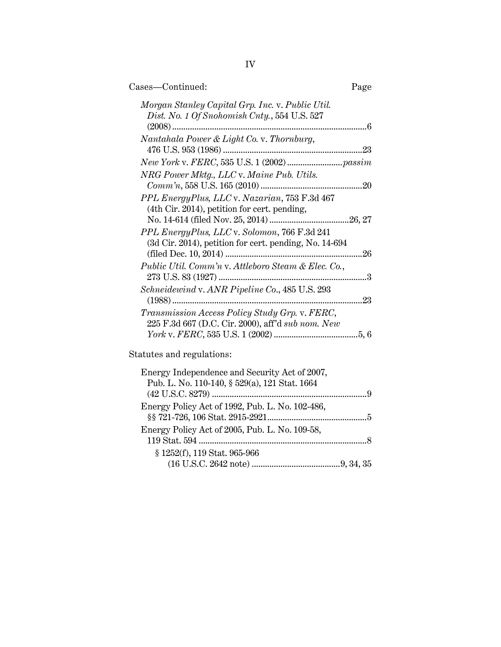| Cases—Continued:                                                                                       | Page |
|--------------------------------------------------------------------------------------------------------|------|
| Morgan Stanley Capital Grp. Inc. v. Public Util.<br>Dist. No. 1 Of Snohomish Cnty., 554 U.S. 527       |      |
| Nantahala Power & Light Co. v. Thornburg,                                                              |      |
| NRG Power Mktg., LLC v. Maine Pub. Utils.                                                              | 20   |
| PPL EnergyPlus, LLC v. Nazarian, 753 F.3d 467<br>(4th Cir. 2014), petition for cert. pending,          |      |
| PPL EnergyPlus, LLC v. Solomon, 766 F.3d 241<br>(3d Cir. 2014), petition for cert. pending, No. 14-694 | 26   |
| Public Util. Comm'n v. Attleboro Steam & Elec. Co.,                                                    | 3    |
| Schneidewind v. ANR Pipeline Co., 485 U.S. 293<br>$(1988)$                                             | 23   |
| Transmission Access Policy Study Grp. v. FERC,<br>225 F.3d 667 (D.C. Cir. 2000), aff'd sub nom. New    | 5,6  |

Statutes and regulations:

| Pub. L. No. 110-140, § 529(a), 121 Stat. 1664   |  |
|-------------------------------------------------|--|
|                                                 |  |
|                                                 |  |
| Energy Policy Act of 1992, Pub. L. No. 102-486, |  |
|                                                 |  |
| Energy Policy Act of 2005, Pub. L. No. 109-58,  |  |
|                                                 |  |
| § 1252(f), 119 Stat. 965-966                    |  |
|                                                 |  |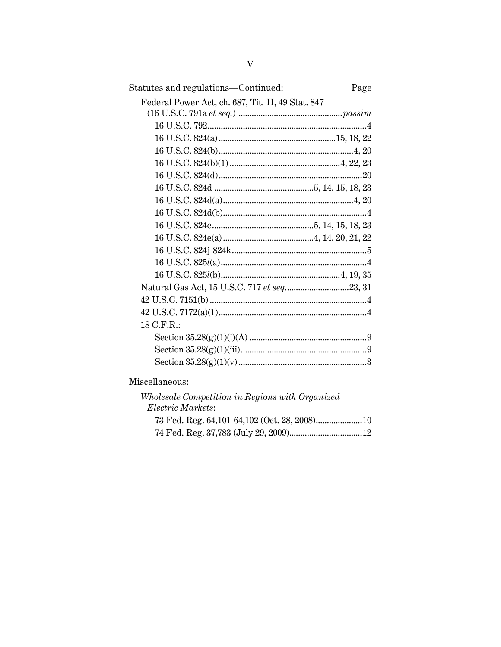| Statutes and regulations-Continued:<br>Page       |  |
|---------------------------------------------------|--|
| Federal Power Act, ch. 687, Tit. II, 49 Stat. 847 |  |
|                                                   |  |
|                                                   |  |
|                                                   |  |
|                                                   |  |
|                                                   |  |
|                                                   |  |
|                                                   |  |
|                                                   |  |
|                                                   |  |
|                                                   |  |
|                                                   |  |
|                                                   |  |
|                                                   |  |
|                                                   |  |
|                                                   |  |
|                                                   |  |
|                                                   |  |
| 18 C.F.R.:                                        |  |
|                                                   |  |
|                                                   |  |
|                                                   |  |

# Miscellaneous:

| Wholesale Competition in Regions with Organized |  |
|-------------------------------------------------|--|
| Electric Markets:                               |  |
|                                                 |  |
|                                                 |  |
|                                                 |  |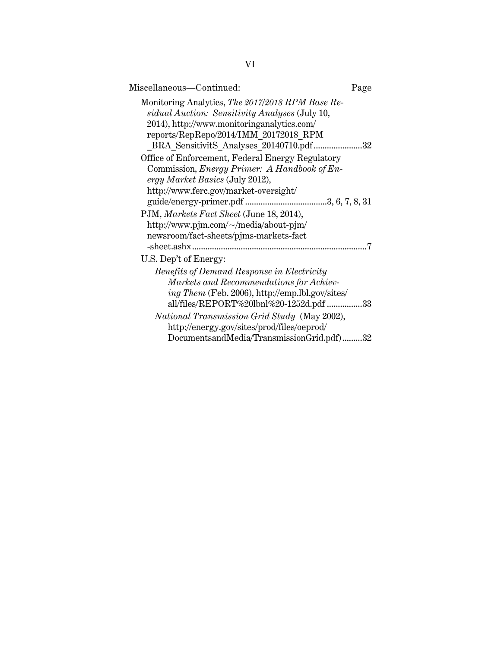| Miscellaneous-Continued:                                                                                                                                                                   | Page |
|--------------------------------------------------------------------------------------------------------------------------------------------------------------------------------------------|------|
| Monitoring Analytics, The 2017/2018 RPM Base Re-<br>sidual Auction: Sensitivity Analyses (July 10,<br>2014), http://www.monitoringanalytics.com/<br>reports/RepRepo/2014/IMM 20172018 RPM  |      |
| BRA SensitivitS Analyses 20140710.pdf32                                                                                                                                                    |      |
| Office of Enforcement, Federal Energy Regulatory<br>Commission, <i>Energy Primer: A Handbook of En-</i><br>ergy Market Basics (July 2012),                                                 |      |
| http://www.ferc.gov/market-oversight/                                                                                                                                                      |      |
|                                                                                                                                                                                            |      |
| PJM, Markets Fact Sheet (June 18, 2014),                                                                                                                                                   |      |
| http://www.pjm.com/~/media/about-pjm/                                                                                                                                                      |      |
| newsroom/fact-sheets/pjms-markets-fact<br>-sheet ashx.                                                                                                                                     |      |
| U.S. Dep't of Energy:                                                                                                                                                                      |      |
| <b>Benefits of Demand Response in Electricity</b><br>Markets and Recommendations for Achiev-<br>ing Them (Feb. 2006), http://emp.lbl.gov/sites/<br>all/files/REPORT%20lbnl%20-1252d.pdf 33 |      |
| National Transmission Grid Study (May 2002),<br>http://energy.gov/sites/prod/files/oeprod/<br>DocumentsandMedia/TransmissionGrid.pdf)32                                                    |      |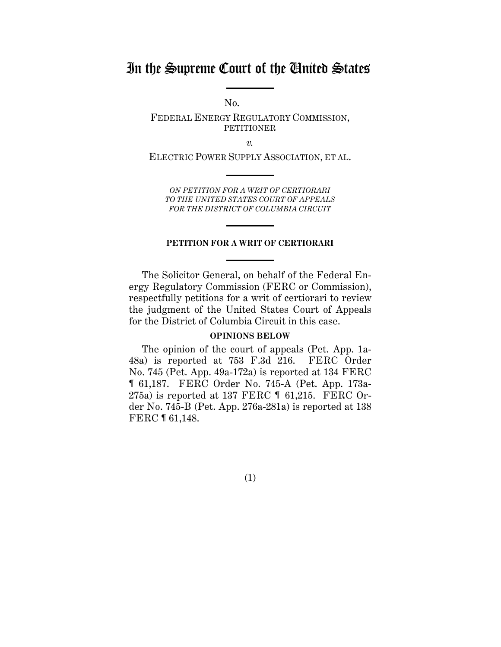# In the Supreme Court of the United States

No.

FEDERAL ENERGY REGULATORY COMMISSION, PETITIONER

*v.*

ELECTRIC POWER SUPPLY ASSOCIATION, ET AL.

*ON PETITION FOR A WRIT OF CERTIORARI TO THE UNITED STATES COURT OF APPEALS FOR THE DISTRICT OF COLUMBIA CIRCUIT*

## **PETITION FOR A WRIT OF CERTIORARI**

The Solicitor General, on behalf of the Federal Energy Regulatory Commission (FERC or Commission), respectfully petitions for a writ of certiorari to review the judgment of the United States Court of Appeals for the District of Columbia Circuit in this case.

## **OPINIONS BELOW**

The opinion of the court of appeals (Pet. App. 1a-48a) is reported at 753 F.3d 216. FERC Order No. 745 (Pet. App. 49a-172a) is reported at 134 FERC ¶ 61,187. FERC Order No. 745-A (Pet. App. 173a-275a) is reported at 137 FERC  $\parallel$  61,215. FERC Order No. 745-B (Pet. App. 276a-281a) is reported at 138 FERC ¶ 61,148.

(1)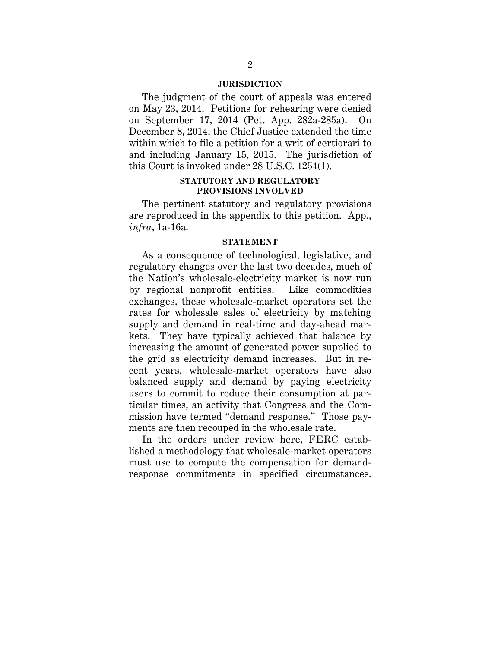#### **JURISDICTION**

The judgment of the court of appeals was entered on May 23, 2014. Petitions for rehearing were denied on September 17, 2014 (Pet. App. 282a-285a). On December 8, 2014, the Chief Justice extended the time within which to file a petition for a writ of certiorari to and including January 15, 2015. The jurisdiction of this Court is invoked under 28 U.S.C. 1254(1).

#### **STATUTORY AND REGULATORY PROVISIONS INVOLVED**

The pertinent statutory and regulatory provisions are reproduced in the appendix to this petition. App., *infra*, 1a-16a.

#### **STATEMENT**

As a consequence of technological, legislative, and regulatory changes over the last two decades, much of the Nation's wholesale-electricity market is now run by regional nonprofit entities. Like commodities exchanges, these wholesale-market operators set the rates for wholesale sales of electricity by matching supply and demand in real-time and day-ahead markets. They have typically achieved that balance by increasing the amount of generated power supplied to the grid as electricity demand increases. But in recent years, wholesale-market operators have also balanced supply and demand by paying electricity users to commit to reduce their consumption at particular times, an activity that Congress and the Commission have termed "demand response." Those payments are then recouped in the wholesale rate.

In the orders under review here, FERC established a methodology that wholesale-market operators must use to compute the compensation for demandresponse commitments in specified circumstances.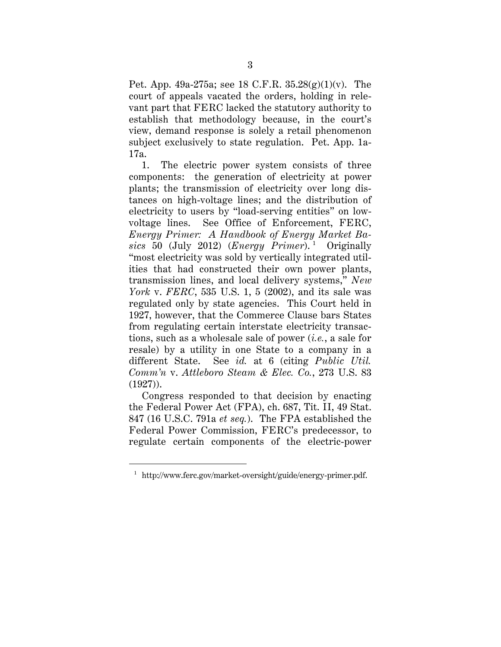Pet. App. 49a-275a; see 18 C.F.R. 35.28(g)(1)(v). The court of appeals vacated the orders, holding in relevant part that FERC lacked the statutory authority to establish that methodology because, in the court's view, demand response is solely a retail phenomenon subject exclusively to state regulation. Pet. App. 1a-17a.

1. The electric power system consists of three components: the generation of electricity at power plants; the transmission of electricity over long distances on high-voltage lines; and the distribution of electricity to users by "load-serving entities" on lowvoltage lines. See Office of Enforcement, FERC, *Energy Primer: A Handbook of Energy Market Basics* 50 (July 2012) (*Energy Primer*). [1](#page-9-0) Originally "most electricity was sold by vertically integrated utilities that had constructed their own power plants, transmission lines, and local delivery systems," *New York* v. *FERC*, 535 U.S. 1, 5 (2002), and its sale was regulated only by state agencies. This Court held in 1927, however, that the Commerce Clause bars States from regulating certain interstate electricity transactions, such as a wholesale sale of power (*i.e.*, a sale for resale) by a utility in one State to a company in a different State. See *id.* at 6 (citing *Public Util. Comm'n* v. *Attleboro Steam & Elec. Co.*, 273 U.S. 83  $(1927)$ .

Congress responded to that decision by enacting the Federal Power Act (FPA), ch. 687, Tit. II, 49 Stat. 847 (16 U.S.C. 791a *et seq.*). The FPA established the Federal Power Commission, FERC's predecessor, to regulate certain components of the electric-power

<span id="page-9-0"></span><sup>&</sup>lt;sup>1</sup> http://www.ferc.gov/market-oversight/guide/energy-primer.pdf.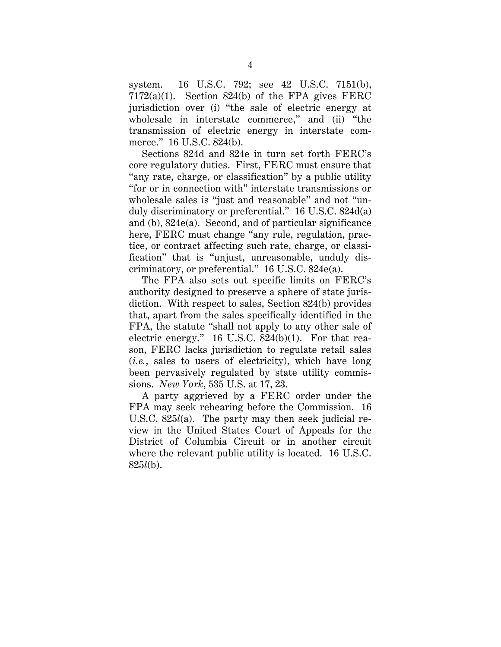system. 16 U.S.C. 792; see 42 U.S.C. 7151(b),  $7172(a)(1)$ . Section 824(b) of the FPA gives FERC jurisdiction over (i) "the sale of electric energy at wholesale in interstate commerce," and (ii) "the transmission of electric energy in interstate commerce." 16 U.S.C. 824(b).

Sections 824d and 824e in turn set forth FERC's core regulatory duties. First, FERC must ensure that "any rate, charge, or classification" by a public utility "for or in connection with" interstate transmissions or wholesale sales is "just and reasonable" and not "unduly discriminatory or preferential." 16 U.S.C. 824d(a) and (b), 824e(a). Second, and of particular significance here, FERC must change "any rule, regulation, practice, or contract affecting such rate, charge, or classification" that is "unjust, unreasonable, unduly discriminatory, or preferential." 16 U.S.C. 824e(a).

The FPA also sets out specific limits on FERC's authority designed to preserve a sphere of state jurisdiction. With respect to sales, Section 824(b) provides that, apart from the sales specifically identified in the FPA, the statute "shall not apply to any other sale of electric energy." 16 U.S.C.  $824(b)(1)$ . For that reason, FERC lacks jurisdiction to regulate retail sales (*i.e.*, sales to users of electricity), which have long been pervasively regulated by state utility commissions. *New York*, 535 U.S. at 17, 23.

A party aggrieved by a FERC order under the FPA may seek rehearing before the Commission. 16 U.S.C. 825*l*(a). The party may then seek judicial review in the United States Court of Appeals for the District of Columbia Circuit or in another circuit where the relevant public utility is located. 16 U.S.C. 825*l*(b).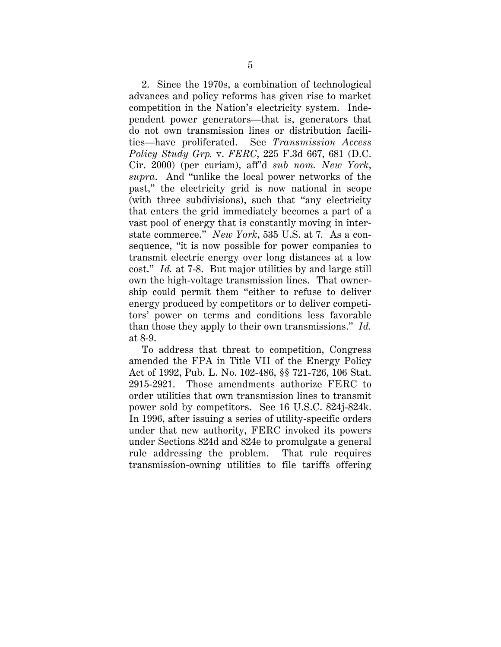2. Since the 1970s, a combination of technological advances and policy reforms has given rise to market competition in the Nation's electricity system. Independent power generators—that is, generators that do not own transmission lines or distribution facilities—have proliferated. See *Transmission Access Policy Study Grp.* v. *FERC*, 225 F.3d 667, 681 (D.C. Cir. 2000) (per curiam), aff'd *sub nom. New York*, *supra*. And "unlike the local power networks of the past," the electricity grid is now national in scope (with three subdivisions), such that "any electricity that enters the grid immediately becomes a part of a vast pool of energy that is constantly moving in interstate commerce." *New York*, 535 U.S. at 7*.* As a consequence, "it is now possible for power companies to transmit electric energy over long distances at a low cost." *Id.* at 7-8. But major utilities by and large still own the high-voltage transmission lines. That ownership could permit them "either to refuse to deliver energy produced by competitors or to deliver competitors' power on terms and conditions less favorable than those they apply to their own transmissions." *Id.* at 8-9.

To address that threat to competition, Congress amended the FPA in Title VII of the Energy Policy Act of 1992, Pub. L. No. 102-486, §§ 721-726, 106 Stat. 2915-2921. Those amendments authorize FERC to order utilities that own transmission lines to transmit power sold by competitors. See 16 U.S.C. 824j-824k. In 1996, after issuing a series of utility-specific orders under that new authority, FERC invoked its powers under Sections 824d and 824e to promulgate a general rule addressing the problem. That rule requires transmission-owning utilities to file tariffs offering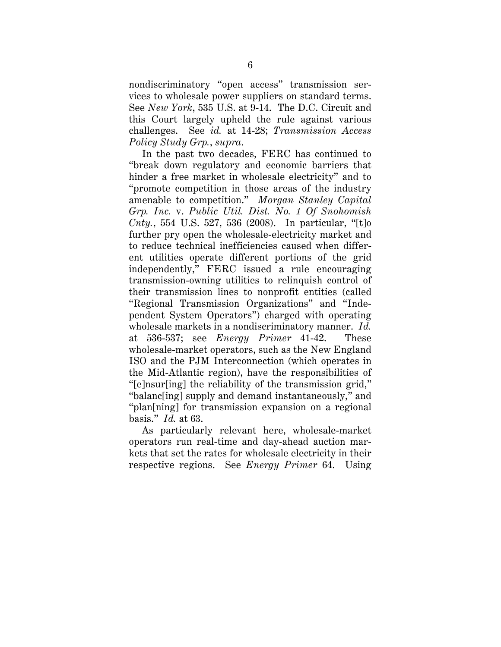nondiscriminatory "open access" transmission services to wholesale power suppliers on standard terms. See *New York*, 535 U.S. at 9-14. The D.C. Circuit and this Court largely upheld the rule against various challenges. See *id.* at 14-28; *Transmission Access Policy Study Grp.*, *supra*.

In the past two decades, FERC has continued to "break down regulatory and economic barriers that hinder a free market in wholesale electricity" and to "promote competition in those areas of the industry amenable to competition." *Morgan Stanley Capital Grp. Inc.* v. *Public Util. Dist. No. 1 Of Snohomish Cnty.*, 554 U.S. 527, 536 (2008). In particular, "[t]o further pry open the wholesale-electricity market and to reduce technical inefficiencies caused when different utilities operate different portions of the grid independently," FERC issued a rule encouraging transmission-owning utilities to relinquish control of their transmission lines to nonprofit entities (called "Regional Transmission Organizations" and "Independent System Operators") charged with operating wholesale markets in a nondiscriminatory manner. *Id.* at 536-537; see *Energy Primer* 41-42. These wholesale-market operators, such as the New England ISO and the PJM Interconnection (which operates in the Mid-Atlantic region), have the responsibilities of "[e]nsur[ing] the reliability of the transmission grid," "balanc[ing] supply and demand instantaneously," and "plan[ning] for transmission expansion on a regional basis." *Id.* at 63.

As particularly relevant here, wholesale-market operators run real-time and day-ahead auction markets that set the rates for wholesale electricity in their respective regions. See *Energy Primer* 64. Using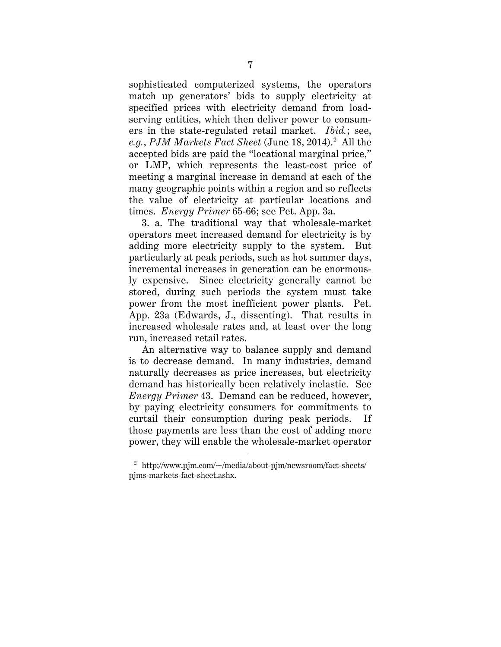sophisticated computerized systems, the operators match up generators' bids to supply electricity at specified prices with electricity demand from loadserving entities, which then deliver power to consumers in the state-regulated retail market. *Ibid.*; see, e.g., PJM Markets Fact Sheet (June 18, [2](#page-13-0)014).<sup>2</sup> All the accepted bids are paid the "locational marginal price," or LMP, which represents the least-cost price of meeting a marginal increase in demand at each of the many geographic points within a region and so reflects the value of electricity at particular locations and times. *Energy Primer* 65-66; see Pet. App. 3a.

3. a. The traditional way that wholesale-market operators meet increased demand for electricity is by adding more electricity supply to the system. But particularly at peak periods, such as hot summer days, incremental increases in generation can be enormously expensive. Since electricity generally cannot be stored, during such periods the system must take power from the most inefficient power plants. Pet. App. 23a (Edwards, J., dissenting). That results in increased wholesale rates and, at least over the long run, increased retail rates.

An alternative way to balance supply and demand is to decrease demand. In many industries, demand naturally decreases as price increases, but electricity demand has historically been relatively inelastic. See *Energy Primer* 43. Demand can be reduced, however, by paying electricity consumers for commitments to curtail their consumption during peak periods. If those payments are less than the cost of adding more power, they will enable the wholesale-market operator

<span id="page-13-0"></span><sup>&</sup>lt;sup>2</sup> http://www.pjm.com/~/media/about-pjm/newsroom/fact-sheets/ pjms-markets-fact-sheet.ashx.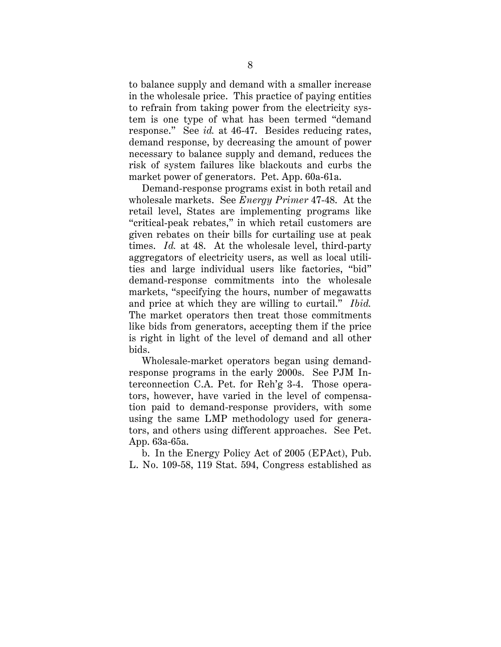to balance supply and demand with a smaller increase in the wholesale price. This practice of paying entities to refrain from taking power from the electricity system is one type of what has been termed "demand response." See *id.* at 46-47. Besides reducing rates, demand response, by decreasing the amount of power necessary to balance supply and demand, reduces the risk of system failures like blackouts and curbs the market power of generators. Pet. App. 60a-61a.

Demand-response programs exist in both retail and wholesale markets. See *Energy Primer* 47-48. At the retail level, States are implementing programs like "critical-peak rebates," in which retail customers are given rebates on their bills for curtailing use at peak times. *Id.* at 48. At the wholesale level, third-party aggregators of electricity users, as well as local utilities and large individual users like factories, "bid" demand-response commitments into the wholesale markets, "specifying the hours, number of megawatts and price at which they are willing to curtail." *Ibid.*  The market operators then treat those commitments like bids from generators, accepting them if the price is right in light of the level of demand and all other bids.

Wholesale-market operators began using demandresponse programs in the early 2000s. See PJM Interconnection C.A. Pet. for Reh'g 3-4. Those operators, however, have varied in the level of compensation paid to demand-response providers, with some using the same LMP methodology used for generators, and others using different approaches. See Pet. App. 63a-65a.

b. In the Energy Policy Act of 2005 (EPAct), Pub. L. No. 109-58, 119 Stat. 594, Congress established as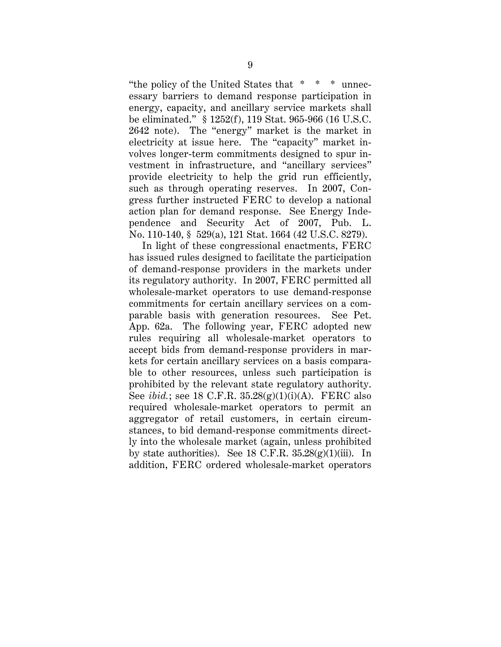"the policy of the United States that \* \* \* unnecessary barriers to demand response participation in energy, capacity, and ancillary service markets shall be eliminated." § 1252(f), 119 Stat. 965-966 (16 U.S.C. 2642 note). The "energy" market is the market in electricity at issue here. The "capacity" market involves longer-term commitments designed to spur investment in infrastructure, and "ancillary services" provide electricity to help the grid run efficiently, such as through operating reserves. In 2007, Congress further instructed FERC to develop a national action plan for demand response. See Energy Independence and Security Act of 2007, Pub. L. No. 110-140, § 529(a), 121 Stat. 1664 (42 U.S.C. 8279).

In light of these congressional enactments, FERC has issued rules designed to facilitate the participation of demand-response providers in the markets under its regulatory authority. In 2007, FERC permitted all wholesale-market operators to use demand-response commitments for certain ancillary services on a comparable basis with generation resources. See Pet. App. 62a. The following year, FERC adopted new rules requiring all wholesale-market operators to accept bids from demand-response providers in markets for certain ancillary services on a basis comparable to other resources, unless such participation is prohibited by the relevant state regulatory authority. See *ibid.*; see 18 C.F.R. 35.28(g)(1)(i)(A). FERC also required wholesale-market operators to permit an aggregator of retail customers, in certain circumstances, to bid demand-response commitments directly into the wholesale market (again, unless prohibited by state authorities). See 18 C.F.R.  $35.28(g)(1)(iii)$ . In addition, FERC ordered wholesale-market operators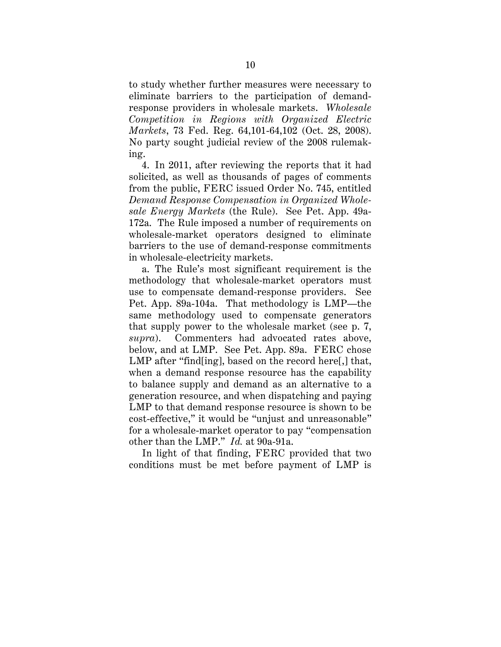to study whether further measures were necessary to eliminate barriers to the participation of demandresponse providers in wholesale markets. *Wholesale Competition in Regions with Organized Electric Markets*, 73 Fed. Reg. 64,101-64,102 (Oct. 28, 2008). No party sought judicial review of the 2008 rulemaking.

4. In 2011, after reviewing the reports that it had solicited, as well as thousands of pages of comments from the public, FERC issued Order No. 745, entitled *Demand Response Compensation in Organized Wholesale Energy Markets* (the Rule). See Pet. App. 49a-172a. The Rule imposed a number of requirements on wholesale-market operators designed to eliminate barriers to the use of demand-response commitments in wholesale-electricity markets.

a. The Rule's most significant requirement is the methodology that wholesale-market operators must use to compensate demand-response providers. See Pet. App. 89a-104a. That methodology is LMP—the same methodology used to compensate generators that supply power to the wholesale market (see p. 7, *supra*). Commenters had advocated rates above, below, and at LMP. See Pet. App. 89a. FERC chose LMP after "find [ing], based on the record here.] that, when a demand response resource has the capability to balance supply and demand as an alternative to a generation resource, and when dispatching and paying LMP to that demand response resource is shown to be. cost-effective," it would be "unjust and unreasonable" for a wholesale-market operator to pay "compensation other than the LMP." *Id.* at 90a-91a.

In light of that finding, FERC provided that two conditions must be met before payment of LMP is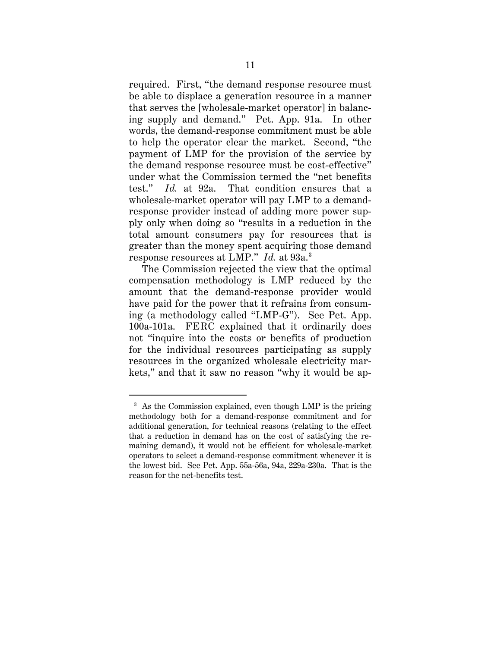required. First, "the demand response resource must be able to displace a generation resource in a manner that serves the [wholesale-market operator] in balancing supply and demand." Pet. App. 91a. In other words, the demand-response commitment must be able to help the operator clear the market. Second, "the payment of LMP for the provision of the service by the demand response resource must be cost-effective" under what the Commission termed the "net benefits test." *Id.* at 92a. That condition ensures that a wholesale-market operator will pay LMP to a demandresponse provider instead of adding more power supply only when doing so "results in a reduction in the total amount consumers pay for resources that is greater than the money spent acquiring those demand response resources at LMP." *Id.* at 93a.[3](#page-17-0)

The Commission rejected the view that the optimal compensation methodology is LMP reduced by the amount that the demand-response provider would have paid for the power that it refrains from consuming (a methodology called "LMP-G"). See Pet. App. 100a-101a. FERC explained that it ordinarily does not "inquire into the costs or benefits of production for the individual resources participating as supply resources in the organized wholesale electricity markets," and that it saw no reason "why it would be ap-

<span id="page-17-0"></span><sup>&</sup>lt;sup>3</sup> As the Commission explained, even though LMP is the pricing methodology both for a demand-response commitment and for additional generation, for technical reasons (relating to the effect that a reduction in demand has on the cost of satisfying the remaining demand), it would not be efficient for wholesale-market operators to select a demand-response commitment whenever it is the lowest bid. See Pet. App. 55a-56a, 94a, 229a-230a. That is the reason for the net-benefits test.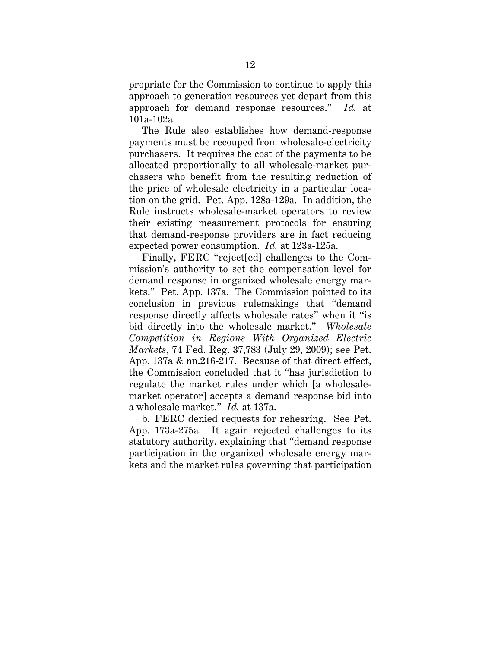propriate for the Commission to continue to apply this approach to generation resources yet depart from this approach for demand response resources." *Id.* at 101a-102a.

The Rule also establishes how demand-response payments must be recouped from wholesale-electricity purchasers. It requires the cost of the payments to be allocated proportionally to all wholesale-market purchasers who benefit from the resulting reduction of the price of wholesale electricity in a particular location on the grid. Pet. App. 128a-129a. In addition, the Rule instructs wholesale-market operators to review their existing measurement protocols for ensuring that demand-response providers are in fact reducing expected power consumption. *Id.* at 123a-125a.

Finally, FERC "reject[ed] challenges to the Commission's authority to set the compensation level for demand response in organized wholesale energy markets." Pet. App. 137a. The Commission pointed to its conclusion in previous rulemakings that "demand response directly affects wholesale rates" when it "is bid directly into the wholesale market." *Wholesale Competition in Regions With Organized Electric Markets*, 74 Fed. Reg. 37,783 (July 29, 2009); see Pet. App. 137a & nn.216-217. Because of that direct effect, the Commission concluded that it "has jurisdiction to regulate the market rules under which [a wholesalemarket operator] accepts a demand response bid into a wholesale market." *Id.* at 137a.

b. FERC denied requests for rehearing. See Pet. App. 173a-275a. It again rejected challenges to its statutory authority, explaining that "demand response participation in the organized wholesale energy markets and the market rules governing that participation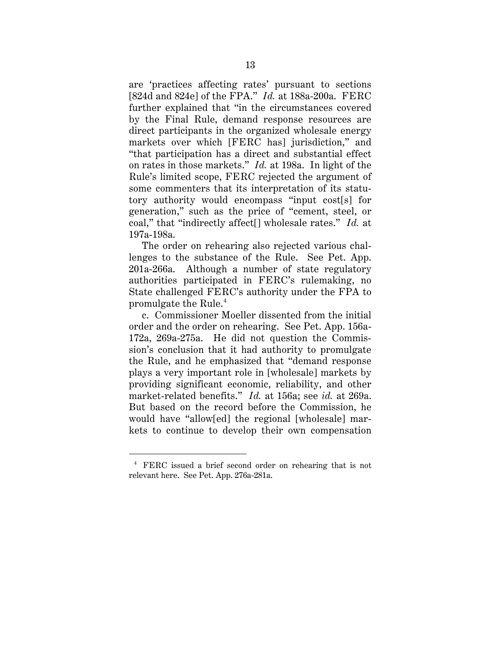are 'practices affecting rates' pursuant to sections [824d and 824e] of the FPA." *Id.* at 188a-200a. FERC further explained that "in the circumstances covered by the Final Rule, demand response resources are direct participants in the organized wholesale energy markets over which [FERC has] jurisdiction," and "that participation has a direct and substantial effect on rates in those markets." *Id.* at 198a. In light of the Rule's limited scope, FERC rejected the argument of some commenters that its interpretation of its statutory authority would encompass "input cost[s] for generation," such as the price of "cement, steel, or coal," that "indirectly affect[] wholesale rates." *Id.* at 197a-198a.

The order on rehearing also rejected various challenges to the substance of the Rule. See Pet. App. 201a-266a. Although a number of state regulatory authorities participated in FERC's rulemaking, no State challenged FERC's authority under the FPA to promulgate the Rule. [4](#page-19-0)

c. Commissioner Moeller dissented from the initial order and the order on rehearing. See Pet. App. 156a-172a, 269a-275a. He did not question the Commission's conclusion that it had authority to promulgate the Rule, and he emphasized that "demand response plays a very important role in [wholesale] markets by providing significant economic, reliability, and other market-related benefits." *Id.* at 156a; see *id.* at 269a. But based on the record before the Commission, he would have "allow[ed] the regional [wholesale] markets to continue to develop their own compensation

<span id="page-19-0"></span> <sup>4</sup> FERC issued a brief second order on rehearing that is not relevant here. See Pet. App. 276a-281a.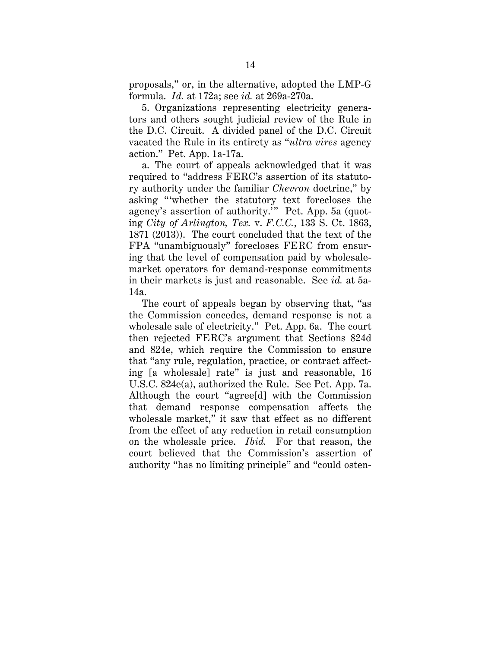proposals," or, in the alternative, adopted the LMP-G formula. *Id.* at 172a; see *id.* at 269a-270a.

5. Organizations representing electricity generators and others sought judicial review of the Rule in the D.C. Circuit. A divided panel of the D.C. Circuit vacated the Rule in its entirety as "*ultra vires* agency action." Pet. App. 1a-17a.

a. The court of appeals acknowledged that it was required to "address FERC's assertion of its statutory authority under the familiar *Chevron* doctrine," by asking "'whether the statutory text forecloses the agency's assertion of authority.'" Pet. App. 5a (quoting *City of Arlington, Tex.* v. *F.C.C.*, 133 S. Ct. 1863, 1871 (2013)). The court concluded that the text of the FPA "unambiguously" forecloses FERC from ensuring that the level of compensation paid by wholesalemarket operators for demand-response commitments in their markets is just and reasonable. See *id.* at 5a-14a.

The court of appeals began by observing that, "as the Commission concedes, demand response is not a wholesale sale of electricity." Pet. App. 6a. The court then rejected FERC's argument that Sections 824d and 824e, which require the Commission to ensure that "any rule, regulation, practice, or contract affecting [a wholesale] rate" is just and reasonable, 16 U.S.C. 824e(a), authorized the Rule. See Pet. App. 7a. Although the court "agree[d] with the Commission that demand response compensation affects the wholesale market," it saw that effect as no different from the effect of any reduction in retail consumption on the wholesale price. *Ibid.* For that reason, the court believed that the Commission's assertion of authority "has no limiting principle" and "could osten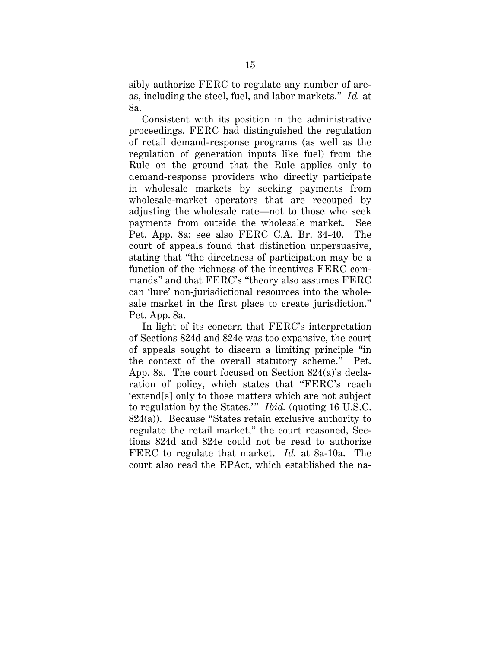sibly authorize FERC to regulate any number of areas, including the steel, fuel, and labor markets." *Id.* at 8a.

Consistent with its position in the administrative proceedings, FERC had distinguished the regulation of retail demand-response programs (as well as the regulation of generation inputs like fuel) from the Rule on the ground that the Rule applies only to demand-response providers who directly participate in wholesale markets by seeking payments from wholesale-market operators that are recouped by adjusting the wholesale rate—not to those who seek payments from outside the wholesale market. See Pet. App. 8a; see also FERC C.A. Br. 34-40. The court of appeals found that distinction unpersuasive, stating that "the directness of participation may be a function of the richness of the incentives FERC commands" and that FERC's "theory also assumes FERC can 'lure' non-jurisdictional resources into the wholesale market in the first place to create jurisdiction." Pet. App. 8a.

In light of its concern that FERC's interpretation of Sections 824d and 824e was too expansive, the court of appeals sought to discern a limiting principle "in the context of the overall statutory scheme." Pet. App. 8a. The court focused on Section 824(a)'s declaration of policy, which states that "FERC's reach 'extend[s] only to those matters which are not subject to regulation by the States.'" *Ibid.* (quoting 16 U.S.C. 824(a)). Because "States retain exclusive authority to regulate the retail market," the court reasoned, Sections 824d and 824e could not be read to authorize FERC to regulate that market. *Id.* at 8a-10a. The court also read the EPAct, which established the na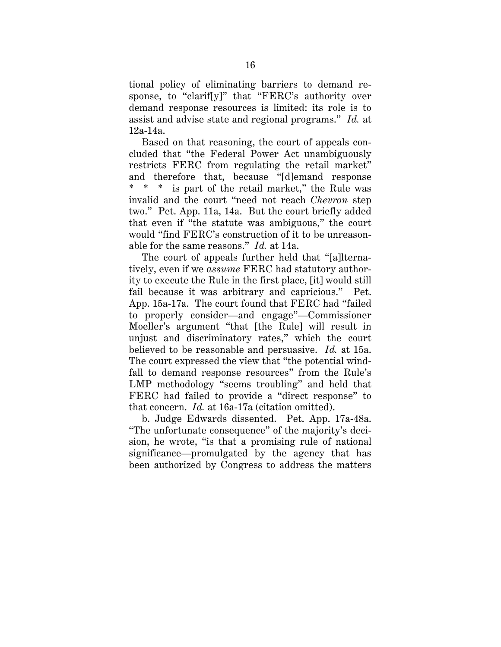tional policy of eliminating barriers to demand response, to "clarif[y]" that "FERC's authority over demand response resources is limited: its role is to assist and advise state and regional programs." *Id.* at 12a-14a.

Based on that reasoning, the court of appeals concluded that "the Federal Power Act unambiguously restricts FERC from regulating the retail market" and therefore that, because "[d]emand response \* \* \* is part of the retail market," the Rule was invalid and the court "need not reach *Chevron* step two." Pet. App. 11a, 14a. But the court briefly added that even if "the statute was ambiguous," the court would "find FERC's construction of it to be unreasonable for the same reasons." *Id.* at 14a.

The court of appeals further held that "[a]lternatively, even if we *assume* FERC had statutory authority to execute the Rule in the first place, [it] would still fail because it was arbitrary and capricious." Pet. App. 15a-17a. The court found that FERC had "failed to properly consider—and engage"—Commissioner Moeller's argument "that [the Rule] will result in unjust and discriminatory rates," which the court believed to be reasonable and persuasive. *Id.* at 15a. The court expressed the view that "the potential windfall to demand response resources" from the Rule's LMP methodology "seems troubling" and held that FERC had failed to provide a "direct response" to that concern. *Id.* at 16a-17a (citation omitted).

b. Judge Edwards dissented. Pet. App. 17a-48a. "The unfortunate consequence" of the majority's decision, he wrote, "is that a promising rule of national significance—promulgated by the agency that has been authorized by Congress to address the matters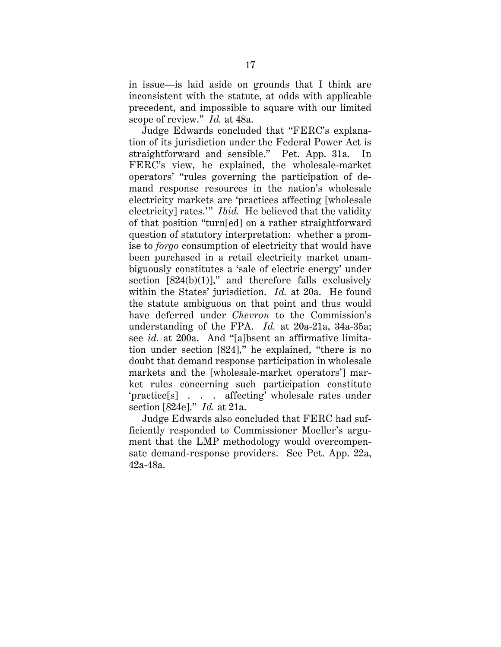in issue—is laid aside on grounds that I think are inconsistent with the statute, at odds with applicable precedent, and impossible to square with our limited scope of review." *Id.* at 48a.

Judge Edwards concluded that "FERC's explanation of its jurisdiction under the Federal Power Act is straightforward and sensible." Pet. App. 31a. In FERC's view, he explained, the wholesale-market operators' "rules governing the participation of demand response resources in the nation's wholesale electricity markets are 'practices affecting [wholesale electricity] rates.'" *Ibid.* He believed that the validity of that position "turn[ed] on a rather straightforward question of statutory interpretation: whether a promise to *forgo* consumption of electricity that would have been purchased in a retail electricity market unambiguously constitutes a 'sale of electric energy' under section  $[824(b)(1)]$ ," and therefore falls exclusively within the States' jurisdiction. *Id.* at 20a. He found the statute ambiguous on that point and thus would have deferred under *Chevron* to the Commission's understanding of the FPA. *Id.* at 20a-21a, 34a-35a; see *id.* at 200a. And "[a]bsent an affirmative limitation under section [824]," he explained, "there is no doubt that demand response participation in wholesale markets and the [wholesale-market operators'] market rules concerning such participation constitute 'practice[s] . . . affecting' wholesale rates under section [824e]." *Id.* at 21a.

Judge Edwards also concluded that FERC had sufficiently responded to Commissioner Moeller's argument that the LMP methodology would overcompensate demand-response providers. See Pet. App. 22a, 42a-48a.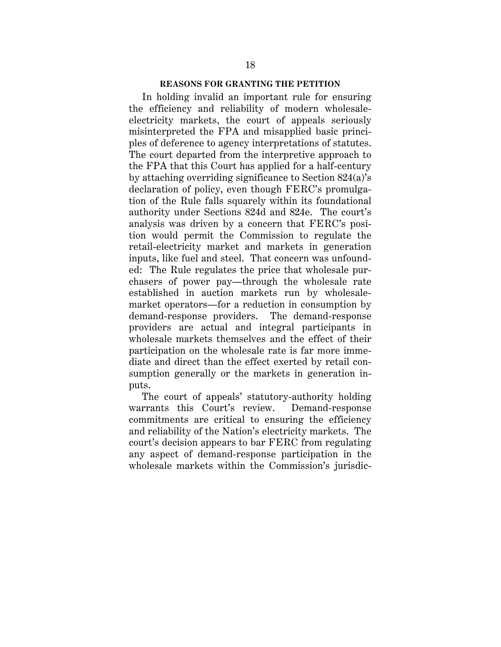#### **REASONS FOR GRANTING THE PETITION**

In holding invalid an important rule for ensuring the efficiency and reliability of modern wholesaleelectricity markets, the court of appeals seriously misinterpreted the FPA and misapplied basic principles of deference to agency interpretations of statutes. The court departed from the interpretive approach to the FPA that this Court has applied for a half-century by attaching overriding significance to Section 824(a)'s declaration of policy, even though FERC's promulgation of the Rule falls squarely within its foundational authority under Sections 824d and 824e. The court's analysis was driven by a concern that FERC's position would permit the Commission to regulate the retail-electricity market and markets in generation inputs, like fuel and steel. That concern was unfounded: The Rule regulates the price that wholesale purchasers of power pay—through the wholesale rate established in auction markets run by wholesalemarket operators—for a reduction in consumption by demand-response providers. The demand-response providers are actual and integral participants in wholesale markets themselves and the effect of their participation on the wholesale rate is far more immediate and direct than the effect exerted by retail consumption generally or the markets in generation inputs.

The court of appeals' statutory-authority holding warrants this Court's review. Demand-response commitments are critical to ensuring the efficiency and reliability of the Nation's electricity markets. The court's decision appears to bar FERC from regulating any aspect of demand-response participation in the wholesale markets within the Commission's jurisdic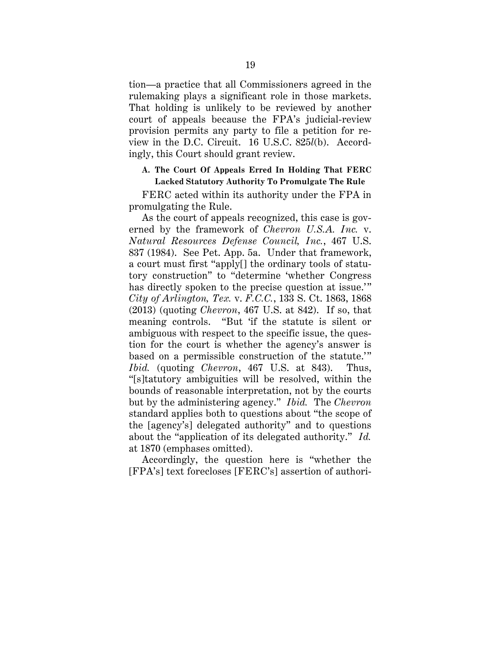tion—a practice that all Commissioners agreed in the rulemaking plays a significant role in those markets. That holding is unlikely to be reviewed by another court of appeals because the FPA's judicial-review provision permits any party to file a petition for review in the D.C. Circuit. 16 U.S.C. 825*l*(b). Accordingly, this Court should grant review.

# **A. The Court Of Appeals Erred In Holding That FERC Lacked Statutory Authority To Promulgate The Rule**

FERC acted within its authority under the FPA in promulgating the Rule.

As the court of appeals recognized, this case is governed by the framework of *Chevron U.S.A. Inc.* v. *Natural Resources Defense Council, Inc.*, 467 U.S. 837 (1984). See Pet. App. 5a. Under that framework, a court must first "apply[] the ordinary tools of statutory construction" to "determine 'whether Congress has directly spoken to the precise question at issue.'" *City of Arlington, Tex.* v. *F.C.C.*, 133 S. Ct. 1863, 1868 (2013) (quoting *Chevron*, 467 U.S. at 842). If so, that meaning controls. "But 'if the statute is silent or ambiguous with respect to the specific issue, the question for the court is whether the agency's answer is based on a permissible construction of the statute.'" *Ibid.* (quoting *Chevron*, 467 U.S. at 843). Thus, "[s]tatutory ambiguities will be resolved, within the bounds of reasonable interpretation, not by the courts but by the administering agency." *Ibid.* The *Chevron* standard applies both to questions about "the scope of the [agency's] delegated authority" and to questions about the "application of its delegated authority." *Id.* at 1870 (emphases omitted).

Accordingly, the question here is "whether the [FPA's] text forecloses [FERC's] assertion of authori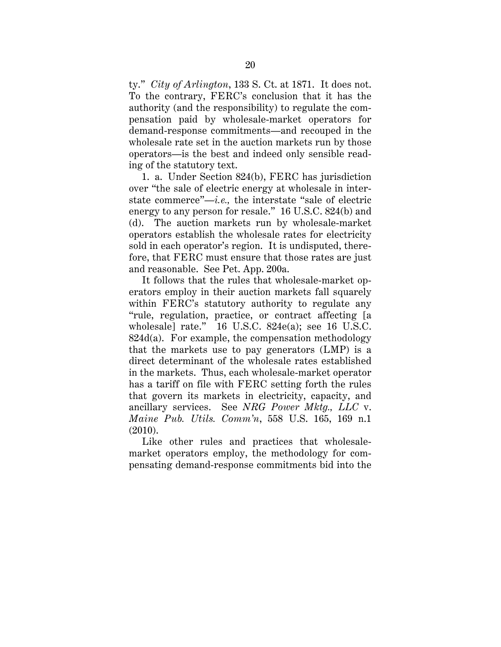ty." *City of Arlington*, 133 S. Ct. at 1871. It does not. To the contrary, FERC's conclusion that it has the authority (and the responsibility) to regulate the compensation paid by wholesale-market operators for demand-response commitments—and recouped in the wholesale rate set in the auction markets run by those operators—is the best and indeed only sensible reading of the statutory text.

1. a. Under Section 824(b), FERC has jurisdiction over "the sale of electric energy at wholesale in interstate commerce"—*i.e.,* the interstate "sale of electric energy to any person for resale." 16 U.S.C. 824(b) and (d). The auction markets run by wholesale-market operators establish the wholesale rates for electricity sold in each operator's region. It is undisputed, therefore, that FERC must ensure that those rates are just and reasonable. See Pet. App. 200a.

It follows that the rules that wholesale-market operators employ in their auction markets fall squarely within FERC's statutory authority to regulate any "rule, regulation, practice, or contract affecting [a wholesale] rate." 16 U.S.C. 824e(a); see 16 U.S.C.  $824d(a)$ . For example, the compensation methodology that the markets use to pay generators (LMP) is a direct determinant of the wholesale rates established in the markets. Thus, each wholesale-market operator has a tariff on file with FERC setting forth the rules that govern its markets in electricity, capacity, and ancillary services. See *NRG Power Mktg., LLC* v. *Maine Pub. Utils. Comm'n*, 558 U.S. 165, 169 n.1 (2010).

Like other rules and practices that wholesalemarket operators employ, the methodology for compensating demand-response commitments bid into the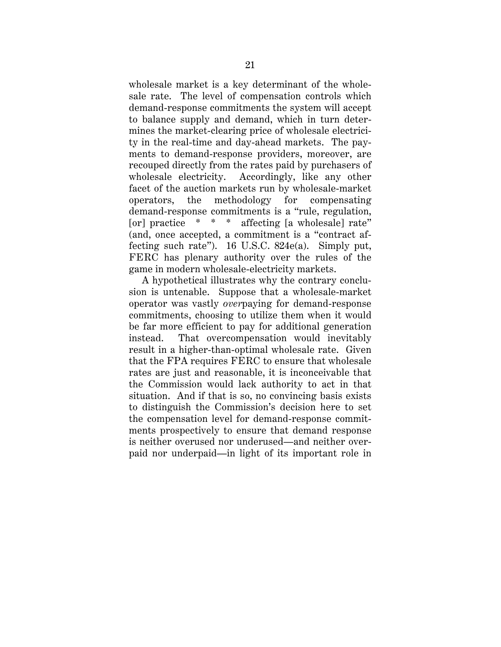wholesale market is a key determinant of the wholesale rate. The level of compensation controls which demand-response commitments the system will accept to balance supply and demand, which in turn determines the market-clearing price of wholesale electricity in the real-time and day-ahead markets. The payments to demand-response providers, moreover, are recouped directly from the rates paid by purchasers of wholesale electricity. Accordingly, like any other facet of the auction markets run by wholesale-market operators, the methodology for compensating demand-response commitments is a "rule, regulation, [or] practice \* \* \* affecting [a wholesale] rate" (and, once accepted, a commitment is a "contract affecting such rate"). 16 U.S.C. 824e(a). Simply put, FERC has plenary authority over the rules of the game in modern wholesale-electricity markets.

A hypothetical illustrates why the contrary conclusion is untenable. Suppose that a wholesale-market operator was vastly *over*paying for demand-response commitments, choosing to utilize them when it would be far more efficient to pay for additional generation instead. That overcompensation would inevitably result in a higher-than-optimal wholesale rate. Given that the FPA requires FERC to ensure that wholesale rates are just and reasonable, it is inconceivable that the Commission would lack authority to act in that situation. And if that is so, no convincing basis exists to distinguish the Commission's decision here to set the compensation level for demand-response commitments prospectively to ensure that demand response is neither overused nor underused—and neither overpaid nor underpaid—in light of its important role in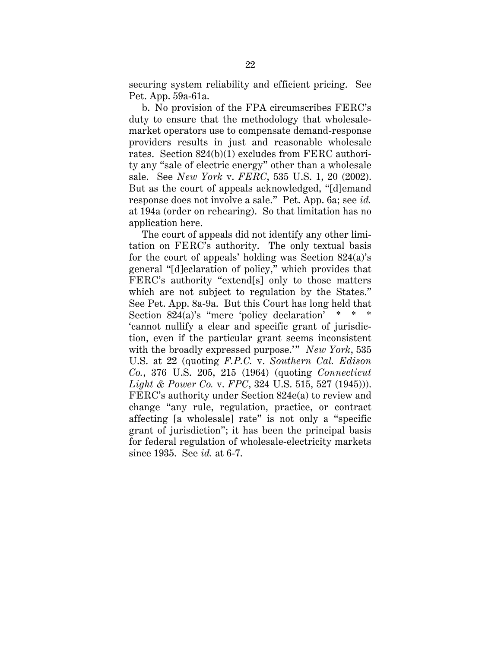securing system reliability and efficient pricing. See Pet. App. 59a-61a.

b. No provision of the FPA circumscribes FERC's duty to ensure that the methodology that wholesalemarket operators use to compensate demand-response providers results in just and reasonable wholesale rates. Section 824(b)(1) excludes from FERC authority any "sale of electric energy" other than a wholesale sale. See *New York* v. *FERC*, 535 U.S. 1, 20 (2002). But as the court of appeals acknowledged, "[d]emand response does not involve a sale." Pet. App. 6a; see *id.* at 194a (order on rehearing). So that limitation has no application here.

The court of appeals did not identify any other limitation on FERC's authority. The only textual basis for the court of appeals' holding was Section 824(a)'s general "[d]eclaration of policy," which provides that FERC's authority "extend[s] only to those matters which are not subject to regulation by the States." See Pet. App. 8a-9a. But this Court has long held that Section 824(a)'s "mere 'policy declaration'  $* * *$ 'cannot nullify a clear and specific grant of jurisdiction, even if the particular grant seems inconsistent with the broadly expressed purpose.'" *New York*, 535 U.S. at 22 (quoting *F.P.C.* v. *Southern Cal. Edison Co.*, 376 U.S. 205, 215 (1964) (quoting *Connecticut Light & Power Co.* v. *FPC*, 324 U.S. 515, 527 (1945))). FERC's authority under Section 824e(a) to review and change "any rule, regulation, practice, or contract affecting [a wholesale] rate" is not only a "specific grant of jurisdiction"; it has been the principal basis for federal regulation of wholesale-electricity markets since 1935. See *id.* at 6-7.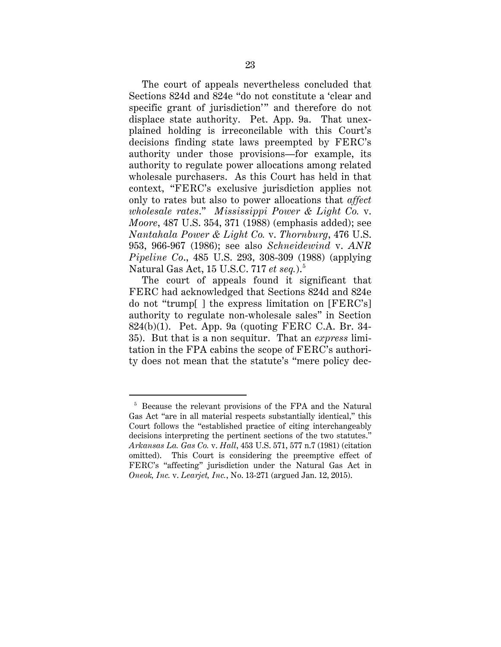The court of appeals nevertheless concluded that Sections 824d and 824e "do not constitute a 'clear and specific grant of jurisdiction'" and therefore do not displace state authority. Pet. App. 9a. That unexplained holding is irreconcilable with this Court's decisions finding state laws preempted by FERC's authority under those provisions—for example, its authority to regulate power allocations among related wholesale purchasers. As this Court has held in that context, "FERC's exclusive jurisdiction applies not only to rates but also to power allocations that *affect wholesale rates*." *Mississippi Power & Light Co.* v. *Moore*, 487 U.S. 354, 371 (1988) (emphasis added); see *Nantahala Power & Light Co.* v. *Thornburg*, 476 U.S. 953, 966-967 (1986); see also *Schneidewind* v. *ANR Pipeline Co*., 485 U.S. 293, 308-309 (1988) (applying Natural Gas Act, 15 U.S.C. 717 *et seq.*).[5](#page-29-0)

The court of appeals found it significant that FERC had acknowledged that Sections 824d and 824e do not "trump[ ] the express limitation on [FERC's] authority to regulate non-wholesale sales" in Section 824(b)(1). Pet. App. 9a (quoting FERC C.A. Br. 34- 35). But that is a non sequitur. That an *express* limitation in the FPA cabins the scope of FERC's authority does not mean that the statute's "mere policy dec-

<span id="page-29-0"></span><sup>&</sup>lt;sup>5</sup> Because the relevant provisions of the FPA and the Natural Gas Act "are in all material respects substantially identical," this Court follows the "established practice of citing interchangeably decisions interpreting the pertinent sections of the two statutes." *Arkansas La. Gas Co.* v. *Hall*, 453 U.S. 571, 577 n.7 (1981) (citation omitted). This Court is considering the preemptive effect of FERC's "affecting" jurisdiction under the Natural Gas Act in *Oneok, Inc.* v. *Learjet, Inc.*, No. 13-271 (argued Jan. 12, 2015).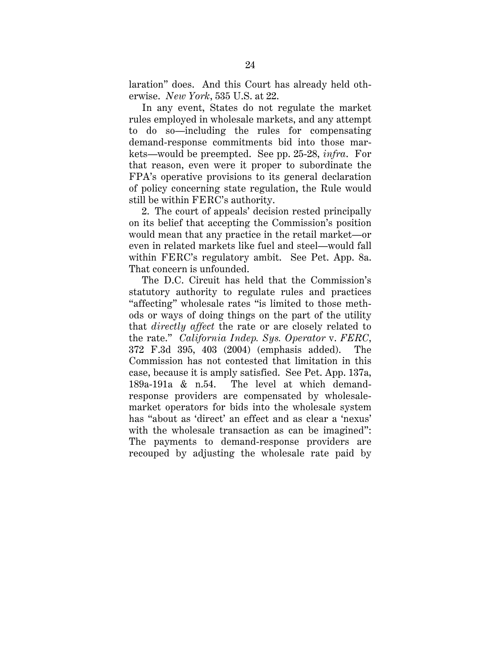laration" does. And this Court has already held otherwise. *New York*, 535 U.S. at 22.

In any event, States do not regulate the market rules employed in wholesale markets, and any attempt to do so—including the rules for compensating demand-response commitments bid into those markets—would be preempted. See pp. 25-28, *infra*. For that reason, even were it proper to subordinate the FPA's operative provisions to its general declaration of policy concerning state regulation, the Rule would still be within FERC's authority.

2. The court of appeals' decision rested principally on its belief that accepting the Commission's position would mean that any practice in the retail market—or even in related markets like fuel and steel—would fall within FERC's regulatory ambit. See Pet. App. 8a. That concern is unfounded.

The D.C. Circuit has held that the Commission's statutory authority to regulate rules and practices "affecting" wholesale rates "is limited to those methods or ways of doing things on the part of the utility that *directly affect* the rate or are closely related to the rate." *California Indep. Sys. Operator* v. *FERC*, 372 F.3d 395, 403 (2004) (emphasis added). The Commission has not contested that limitation in this case, because it is amply satisfied. See Pet. App. 137a, 189a-191a & n.54. The level at which demandresponse providers are compensated by wholesalemarket operators for bids into the wholesale system has "about as 'direct' an effect and as clear a 'nexus' with the wholesale transaction as can be imagined": The payments to demand-response providers are recouped by adjusting the wholesale rate paid by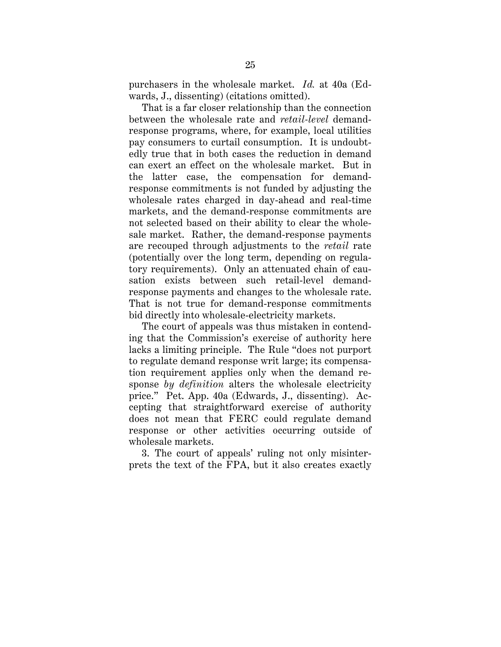purchasers in the wholesale market. *Id.* at 40a (Edwards, J., dissenting) (citations omitted).

That is a far closer relationship than the connection between the wholesale rate and *retail-level* demandresponse programs, where, for example, local utilities pay consumers to curtail consumption. It is undoubtedly true that in both cases the reduction in demand can exert an effect on the wholesale market. But in the latter case, the compensation for demandresponse commitments is not funded by adjusting the wholesale rates charged in day-ahead and real-time markets, and the demand-response commitments are not selected based on their ability to clear the wholesale market. Rather, the demand-response payments are recouped through adjustments to the *retail* rate (potentially over the long term, depending on regulatory requirements). Only an attenuated chain of causation exists between such retail-level demandresponse payments and changes to the wholesale rate. That is not true for demand-response commitments bid directly into wholesale-electricity markets.

The court of appeals was thus mistaken in contending that the Commission's exercise of authority here lacks a limiting principle. The Rule "does not purport to regulate demand response writ large; its compensation requirement applies only when the demand response *by definition* alters the wholesale electricity price." Pet. App. 40a (Edwards, J., dissenting). Accepting that straightforward exercise of authority does not mean that FERC could regulate demand response or other activities occurring outside of wholesale markets.

3. The court of appeals' ruling not only misinterprets the text of the FPA, but it also creates exactly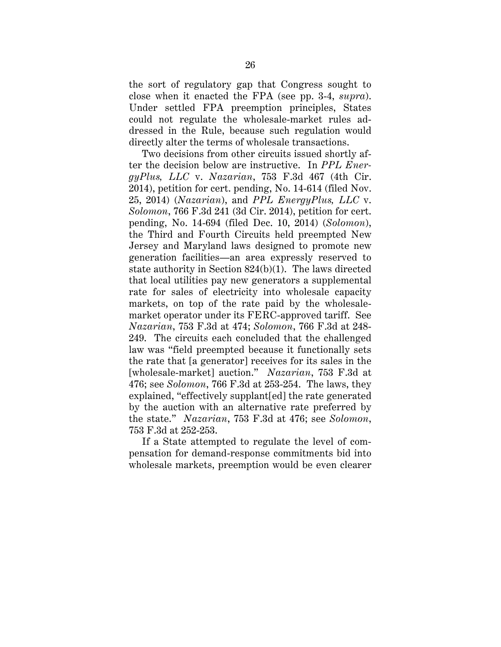the sort of regulatory gap that Congress sought to close when it enacted the FPA (see pp. 3-4, *supra*). Under settled FPA preemption principles, States could not regulate the wholesale-market rules addressed in the Rule, because such regulation would directly alter the terms of wholesale transactions.

Two decisions from other circuits issued shortly after the decision below are instructive. In *PPL EnergyPlus, LLC* v. *Nazarian*, 753 F.3d 467 (4th Cir. 2014), petition for cert. pending, No. 14-614 (filed Nov. 25, 2014) (*Nazarian*), and *PPL EnergyPlus, LLC* v. *Solomon*, 766 F.3d 241 (3d Cir. 2014), petition for cert. pending, No. 14-694 (filed Dec. 10, 2014) (*Solomon*), the Third and Fourth Circuits held preempted New Jersey and Maryland laws designed to promote new generation facilities—an area expressly reserved to state authority in Section 824(b)(1). The laws directed that local utilities pay new generators a supplemental rate for sales of electricity into wholesale capacity markets, on top of the rate paid by the wholesalemarket operator under its FERC-approved tariff. See *Nazarian*, 753 F.3d at 474; *Solomon*, 766 F.3d at 248- 249. The circuits each concluded that the challenged law was "field preempted because it functionally sets the rate that [a generator] receives for its sales in the [wholesale-market] auction." *Nazarian*, 753 F.3d at 476; see *Solomon*, 766 F.3d at 253-254. The laws, they explained, "effectively supplant[ed] the rate generated by the auction with an alternative rate preferred by the state." *Nazarian*, 753 F.3d at 476; see *Solomon*, 753 F.3d at 252-253.

If a State attempted to regulate the level of compensation for demand-response commitments bid into wholesale markets, preemption would be even clearer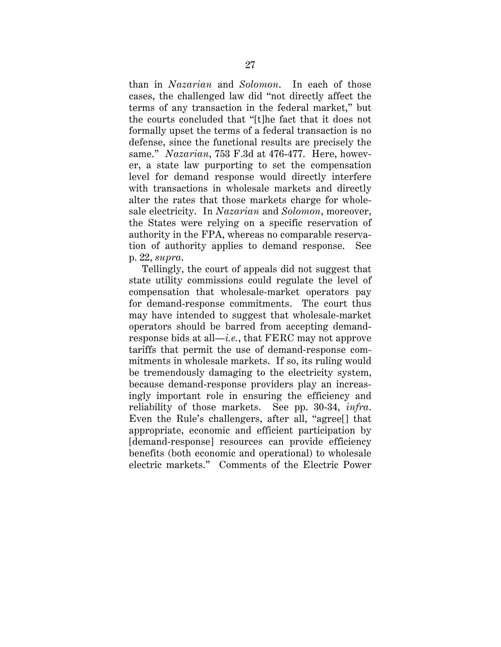than in *Nazarian* and *Solomon*. In each of those cases, the challenged law did "not directly affect the terms of any transaction in the federal market," but the courts concluded that "[t]he fact that it does not formally upset the terms of a federal transaction is no defense, since the functional results are precisely the same." *Nazarian*, 753 F.3d at 476-477. Here, however, a state law purporting to set the compensation level for demand response would directly interfere with transactions in wholesale markets and directly alter the rates that those markets charge for wholesale electricity. In *Nazarian* and *Solomon*, moreover, the States were relying on a specific reservation of authority in the FPA, whereas no comparable reservation of authority applies to demand response. See p. 22, *supra*.

Tellingly, the court of appeals did not suggest that state utility commissions could regulate the level of compensation that wholesale-market operators pay for demand-response commitments. The court thus may have intended to suggest that wholesale-market operators should be barred from accepting demandresponse bids at all—*i.e.*, that FERC may not approve tariffs that permit the use of demand-response commitments in wholesale markets. If so, its ruling would be tremendously damaging to the electricity system, because demand-response providers play an increasingly important role in ensuring the efficiency and reliability of those markets. See pp. 30-34, *infra*. Even the Rule's challengers, after all, "agree[] that appropriate, economic and efficient participation by [demand-response] resources can provide efficiency benefits (both economic and operational) to wholesale electric markets." Comments of the Electric Power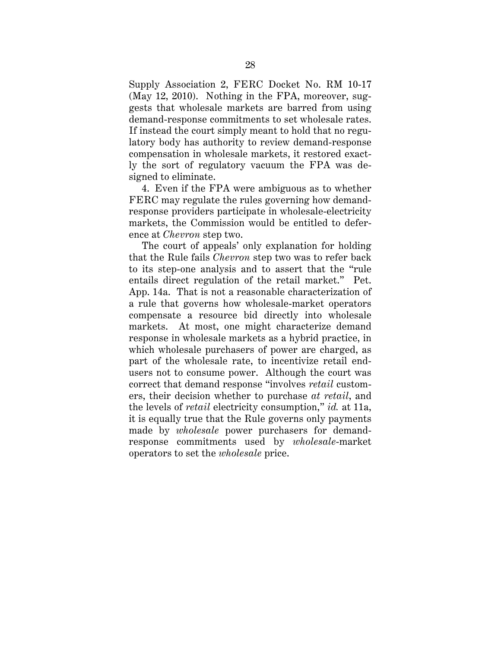Supply Association 2, FERC Docket No. RM 10-17 (May 12, 2010). Nothing in the FPA, moreover, suggests that wholesale markets are barred from using demand-response commitments to set wholesale rates. If instead the court simply meant to hold that no regulatory body has authority to review demand-response compensation in wholesale markets, it restored exactly the sort of regulatory vacuum the FPA was designed to eliminate.

4. Even if the FPA were ambiguous as to whether FERC may regulate the rules governing how demandresponse providers participate in wholesale-electricity markets, the Commission would be entitled to deference at *Chevron* step two.

The court of appeals' only explanation for holding that the Rule fails *Chevron* step two was to refer back to its step-one analysis and to assert that the "rule entails direct regulation of the retail market." Pet. App. 14a. That is not a reasonable characterization of a rule that governs how wholesale-market operators compensate a resource bid directly into wholesale markets. At most, one might characterize demand response in wholesale markets as a hybrid practice, in which wholesale purchasers of power are charged, as part of the wholesale rate, to incentivize retail endusers not to consume power. Although the court was correct that demand response "involves *retail* customers, their decision whether to purchase *at retail*, and the levels of *retail* electricity consumption," *id.* at 11a, it is equally true that the Rule governs only payments made by *wholesale* power purchasers for demandresponse commitments used by *wholesale*-market operators to set the *wholesale* price.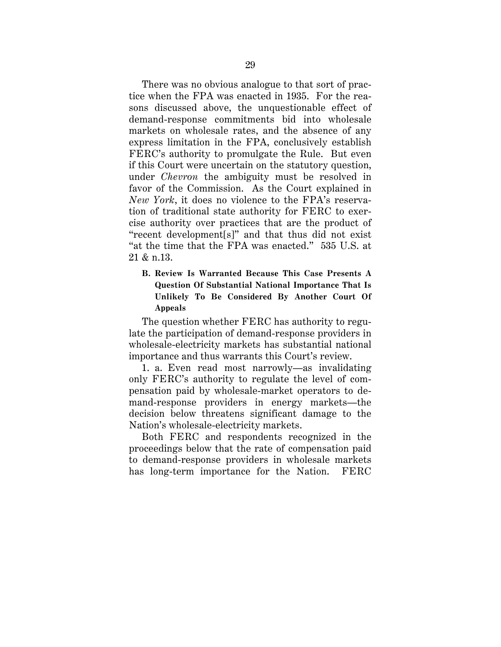There was no obvious analogue to that sort of practice when the FPA was enacted in 1935. For the reasons discussed above, the unquestionable effect of demand-response commitments bid into wholesale markets on wholesale rates, and the absence of any express limitation in the FPA, conclusively establish FERC's authority to promulgate the Rule. But even if this Court were uncertain on the statutory question, under *Chevron* the ambiguity must be resolved in favor of the Commission. As the Court explained in *New York*, it does no violence to the FPA's reservation of traditional state authority for FERC to exercise authority over practices that are the product of "recent development[s]" and that thus did not exist "at the time that the FPA was enacted." 535 U.S. at 21 & n.13.

**B. Review Is Warranted Because This Case Presents A Question Of Substantial National Importance That Is Unlikely To Be Considered By Another Court Of Appeals**

The question whether FERC has authority to regulate the participation of demand-response providers in wholesale-electricity markets has substantial national importance and thus warrants this Court's review.

1. a. Even read most narrowly—as invalidating only FERC's authority to regulate the level of compensation paid by wholesale-market operators to demand-response providers in energy markets—the decision below threatens significant damage to the Nation's wholesale-electricity markets.

Both FERC and respondents recognized in the proceedings below that the rate of compensation paid to demand-response providers in wholesale markets has long-term importance for the Nation. FERC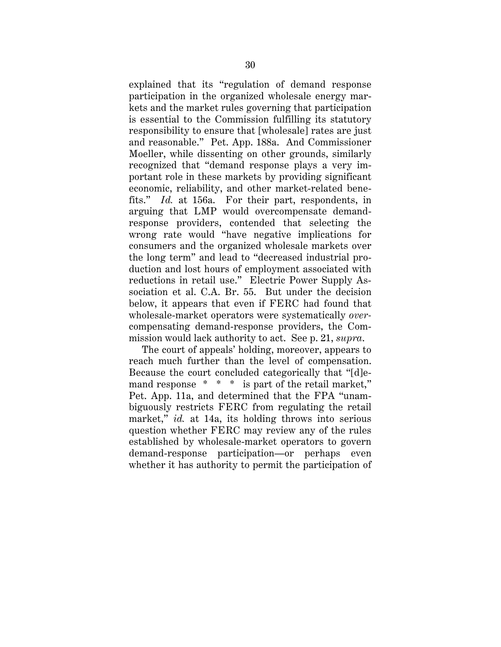explained that its "regulation of demand response participation in the organized wholesale energy markets and the market rules governing that participation is essential to the Commission fulfilling its statutory responsibility to ensure that [wholesale] rates are just and reasonable." Pet. App. 188a. And Commissioner Moeller, while dissenting on other grounds, similarly recognized that "demand response plays a very important role in these markets by providing significant economic, reliability, and other market-related benefits." *Id.* at 156a. For their part, respondents, in arguing that LMP would overcompensate demandresponse providers, contended that selecting the wrong rate would "have negative implications for consumers and the organized wholesale markets over the long term" and lead to "decreased industrial production and lost hours of employment associated with reductions in retail use." Electric Power Supply Association et al. C.A. Br. 55. But under the decision below, it appears that even if FERC had found that wholesale-market operators were systematically *over*compensating demand-response providers, the Commission would lack authority to act. See p. 21, *supra*.

The court of appeals' holding, moreover, appears to reach much further than the level of compensation. Because the court concluded categorically that "[d]emand response \* \* \* is part of the retail market," Pet. App. 11a, and determined that the FPA "unambiguously restricts FERC from regulating the retail market," *id.* at 14a, its holding throws into serious question whether FERC may review any of the rules established by wholesale-market operators to govern demand-response participation—or perhaps even whether it has authority to permit the participation of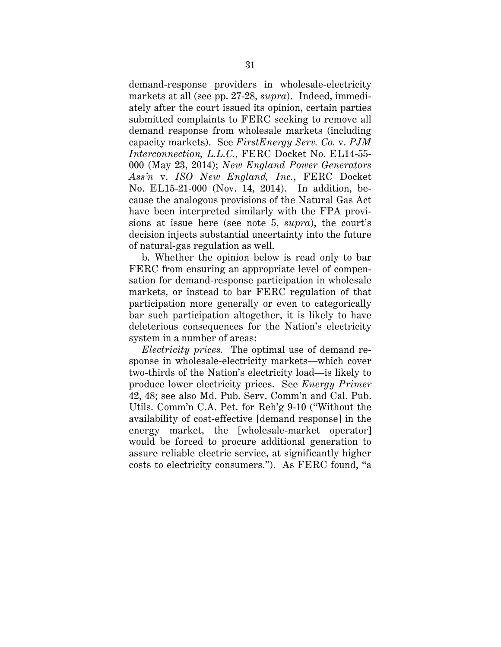demand-response providers in wholesale-electricity markets at all (see pp. 27-28, *supra*). Indeed, immediately after the court issued its opinion, certain parties submitted complaints to FERC seeking to remove all demand response from wholesale markets (including capacity markets). See *FirstEnergy Serv. Co.* v. *PJM Interconnection, L.L.C.*, FERC Docket No. EL14-55- 000 (May 23, 2014); *New England Power Generators Ass'n* v. *ISO New England, Inc.*, FERC Docket No. EL15-21-000 (Nov. 14, 2014). In addition, because the analogous provisions of the Natural Gas Act have been interpreted similarly with the FPA provisions at issue here (see note 5, *supra*), the court's decision injects substantial uncertainty into the future of natural-gas regulation as well.

b. Whether the opinion below is read only to bar FERC from ensuring an appropriate level of compensation for demand-response participation in wholesale markets, or instead to bar FERC regulation of that participation more generally or even to categorically bar such participation altogether, it is likely to have deleterious consequences for the Nation's electricity system in a number of areas:

*Electricity prices.* The optimal use of demand response in wholesale-electricity markets—which cover two-thirds of the Nation's electricity load—is likely to produce lower electricity prices. See *Energy Primer* 42, 48; see also Md. Pub. Serv. Comm'n and Cal. Pub. Utils. Comm'n C.A. Pet. for Reh'g 9-10 ("Without the availability of cost-effective [demand response] in the energy market, the [wholesale-market operator] would be forced to procure additional generation to assure reliable electric service, at significantly higher costs to electricity consumers."). As FERC found, "a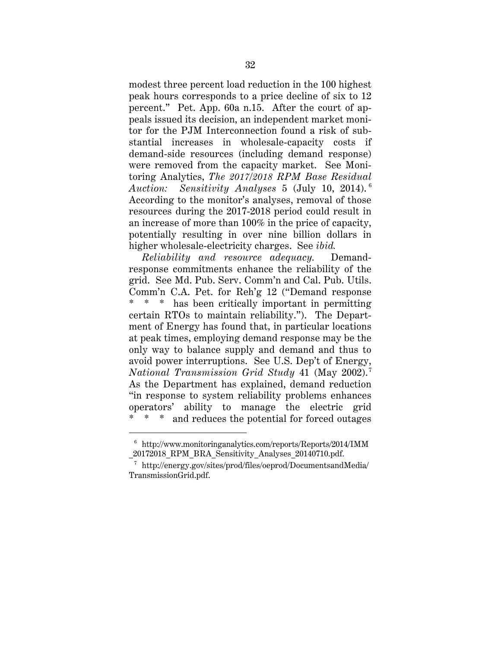modest three percent load reduction in the 100 highest peak hours corresponds to a price decline of six to 12 percent." Pet. App. 60a n.15. After the court of appeals issued its decision, an independent market monitor for the PJM Interconnection found a risk of substantial increases in wholesale-capacity costs if demand-side resources (including demand response) were removed from the capacity market. See Monitoring Analytics, *The 2017/2018 RPM Base Residual Auction: Sensitivity Analyses* 5 (July 10, 2014). [6](#page-38-0) According to the monitor's analyses, removal of those resources during the 2017-2018 period could result in an increase of more than 100% in the price of capacity, potentially resulting in over nine billion dollars in higher wholesale-electricity charges. See *ibid.*

*Reliability and resource adequacy.* Demandresponse commitments enhance the reliability of the grid. See Md. Pub. Serv. Comm'n and Cal. Pub. Utils. Comm'n C.A. Pet. for Reh'g 12 ("Demand response \* \* \* has been critically important in permitting certain RTOs to maintain reliability."). The Department of Energy has found that, in particular locations at peak times, employing demand response may be the only way to balance supply and demand and thus to avoid power interruptions. See U.S. Dep't of Energy, *National Transmission Grid Study* 41 (May 2002). [7](#page-38-1) As the Department has explained, demand reduction "in response to system reliability problems enhances operators' ability to manage the electric grid and reduces the potential for forced outages

<span id="page-38-0"></span> <sup>6</sup> http://www.monitoringanalytics.com/reports/Reports/2014/IMM \_20172018\_RPM\_BRA\_Sensitivity\_Analyses\_20140710.pdf.

<span id="page-38-1"></span><sup>7</sup> http://energy.gov/sites/prod/files/oeprod/DocumentsandMedia/ TransmissionGrid.pdf.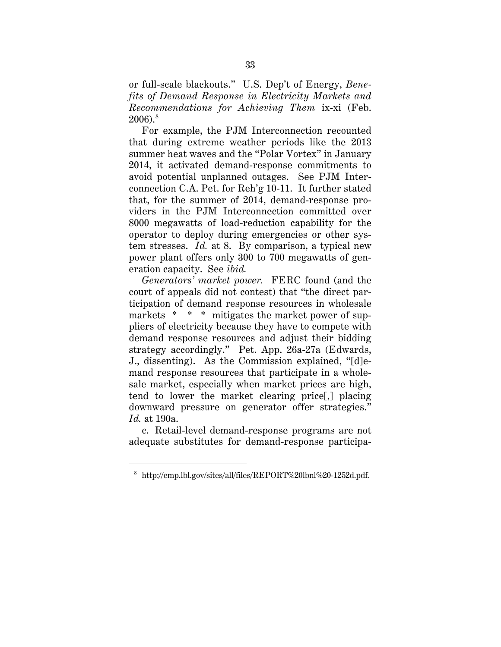or full-scale blackouts." U.S. Dep't of Energy, *Benefits of Demand Response in Electricity Markets and Recommendations for Achieving Them* ix-xi (Feb.  $2006$ ). $^{8}$  $^{8}$  $^{8}$ 

For example, the PJM Interconnection recounted that during extreme weather periods like the 2013 summer heat waves and the "Polar Vortex" in January 2014, it activated demand-response commitments to avoid potential unplanned outages. See PJM Interconnection C.A. Pet. for Reh'g 10-11. It further stated that, for the summer of 2014, demand-response providers in the PJM Interconnection committed over 8000 megawatts of load-reduction capability for the operator to deploy during emergencies or other system stresses. *Id.* at 8. By comparison, a typical new power plant offers only 300 to 700 megawatts of generation capacity. See *ibid.*

*Generators' market power.* FERC found (and the court of appeals did not contest) that "the direct participation of demand response resources in wholesale markets \* \* \* mitigates the market power of suppliers of electricity because they have to compete with demand response resources and adjust their bidding strategy accordingly." Pet. App. 26a-27a (Edwards, J., dissenting). As the Commission explained, "[d]emand response resources that participate in a wholesale market, especially when market prices are high, tend to lower the market clearing price[,] placing downward pressure on generator offer strategies." *Id.* at 190a.

c. Retail-level demand-response programs are not adequate substitutes for demand-response participa-

<span id="page-39-0"></span> <sup>8</sup> http://emp.lbl.gov/sites/all/files/REPORT%20lbnl%20-1252d.pdf.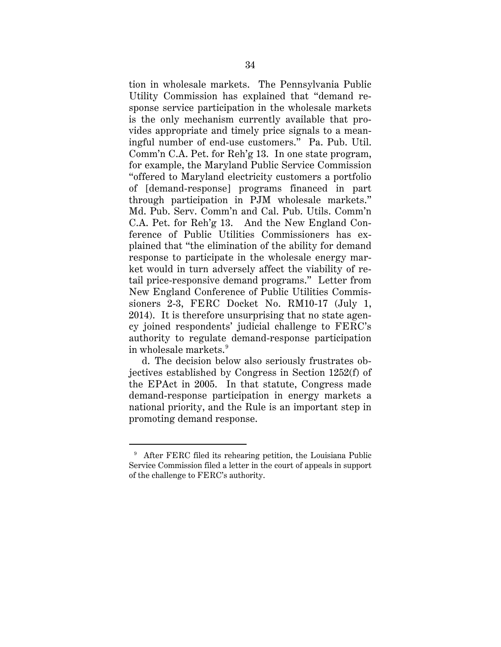tion in wholesale markets. The Pennsylvania Public Utility Commission has explained that "demand response service participation in the wholesale markets is the only mechanism currently available that provides appropriate and timely price signals to a meaningful number of end-use customers." Pa. Pub. Util. Comm'n C.A. Pet. for Reh'g 13. In one state program, for example, the Maryland Public Service Commission "offered to Maryland electricity customers a portfolio of [demand-response] programs financed in part through participation in PJM wholesale markets." Md. Pub. Serv. Comm'n and Cal. Pub. Utils. Comm'n C.A. Pet. for Reh'g 13. And the New England Conference of Public Utilities Commissioners has explained that "the elimination of the ability for demand response to participate in the wholesale energy market would in turn adversely affect the viability of retail price-responsive demand programs." Letter from New England Conference of Public Utilities Commissioners 2-3, FERC Docket No. RM10-17 (July 1, 2014). It is therefore unsurprising that no state agency joined respondents' judicial challenge to FERC's authority to regulate demand-response participation in wholesale markets. [9](#page-40-0)

d. The decision below also seriously frustrates objectives established by Congress in Section 1252(f) of the EPAct in 2005. In that statute, Congress made demand-response participation in energy markets a national priority, and the Rule is an important step in promoting demand response.

<span id="page-40-0"></span><sup>&</sup>lt;sup>9</sup> After FERC filed its rehearing petition, the Louisiana Public Service Commission filed a letter in the court of appeals in support of the challenge to FERC's authority.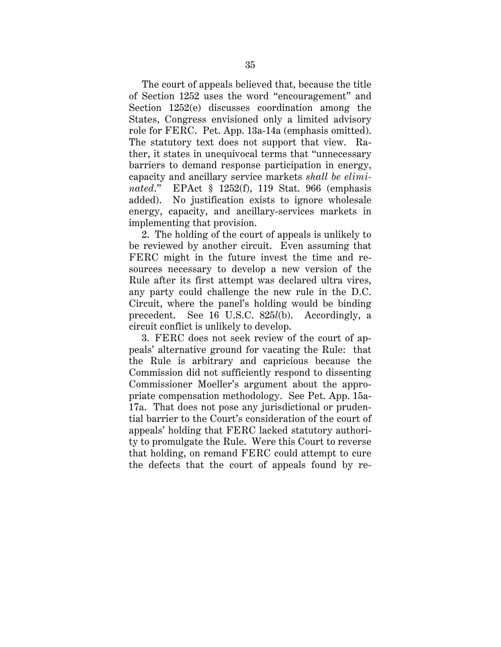The court of appeals believed that, because the title of Section 1252 uses the word "encouragement" and Section 1252(e) discusses coordination among the States, Congress envisioned only a limited advisory role for FERC. Pet. App. 13a-14a (emphasis omitted). The statutory text does not support that view. Rather, it states in unequivocal terms that "unnecessary barriers to demand response participation in energy, capacity and ancillary service markets *shall be eliminated*." EPAct § 1252(f), 119 Stat. 966 (emphasis added). No justification exists to ignore wholesale energy, capacity, and ancillary-services markets in implementing that provision.

2. The holding of the court of appeals is unlikely to be reviewed by another circuit. Even assuming that FERC might in the future invest the time and resources necessary to develop a new version of the Rule after its first attempt was declared ultra vires, any party could challenge the new rule in the D.C. Circuit, where the panel's holding would be binding precedent. See 16 U.S.C. 825*l*(b). Accordingly, a circuit conflict is unlikely to develop.

3. FERC does not seek review of the court of appeals' alternative ground for vacating the Rule: that the Rule is arbitrary and capricious because the Commission did not sufficiently respond to dissenting Commissioner Moeller's argument about the appropriate compensation methodology. See Pet. App. 15a-17a. That does not pose any jurisdictional or prudential barrier to the Court's consideration of the court of appeals' holding that FERC lacked statutory authority to promulgate the Rule. Were this Court to reverse that holding, on remand FERC could attempt to cure the defects that the court of appeals found by re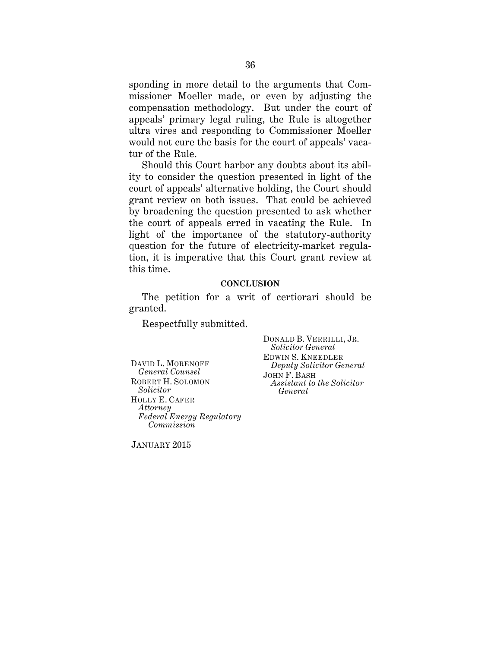sponding in more detail to the arguments that Commissioner Moeller made, or even by adjusting the compensation methodology. But under the court of appeals' primary legal ruling, the Rule is altogether ultra vires and responding to Commissioner Moeller would not cure the basis for the court of appeals' vacatur of the Rule.

Should this Court harbor any doubts about its ability to consider the question presented in light of the court of appeals' alternative holding, the Court should grant review on both issues. That could be achieved by broadening the question presented to ask whether the court of appeals erred in vacating the Rule. In light of the importance of the statutory-authority question for the future of electricity-market regulation, it is imperative that this Court grant review at this time.

#### **CONCLUSION**

The petition for a writ of certiorari should be granted.

Respectfully submitted.

DAVID L. MORENOFF *General Counsel* ROBERT H. SOLOMON *Solicitor* HOLLY E. CAFER *Attorney Federal Energy Regulatory Commission*

DONALD B. VERRILLI, JR. *Solicitor General* EDWIN S. KNEEDLER *Deputy Solicitor General* JOHN F. BASH *Assistant to the Solicitor General*

JANUARY 2015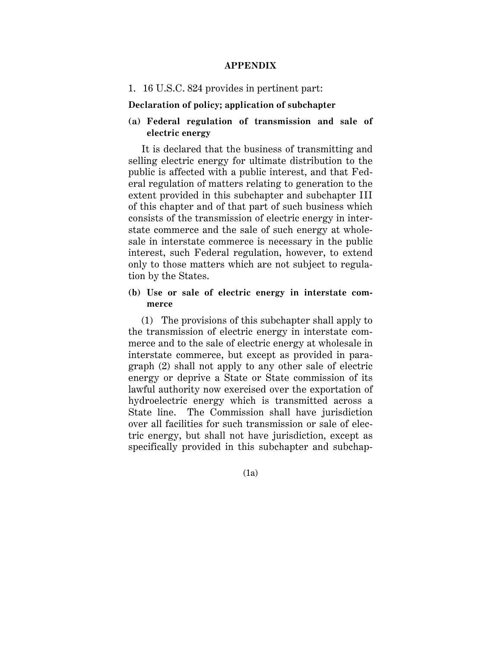## **APPENDIX**

1. 16 U.S.C. 824 provides in pertinent part:

## **Declaration of policy; application of subchapter**

**(a) Federal regulation of transmission and sale of electric energy** 

It is declared that the business of transmitting and selling electric energy for ultimate distribution to the public is affected with a public interest, and that Federal regulation of matters relating to generation to the extent provided in this subchapter and subchapter III of this chapter and of that part of such business which consists of the transmission of electric energy in interstate commerce and the sale of such energy at wholesale in interstate commerce is necessary in the public interest, such Federal regulation, however, to extend only to those matters which are not subject to regulation by the States.

**(b) Use or sale of electric energy in interstate commerce**

(1) The provisions of this subchapter shall apply to the transmission of electric energy in interstate commerce and to the sale of electric energy at wholesale in interstate commerce, but except as provided in paragraph (2) shall not apply to any other sale of electric energy or deprive a State or State commission of its lawful authority now exercised over the exportation of hydroelectric energy which is transmitted across a State line. The Commission shall have jurisdiction over all facilities for such transmission or sale of electric energy, but shall not have jurisdiction, except as specifically provided in this subchapter and subchap-

(1a)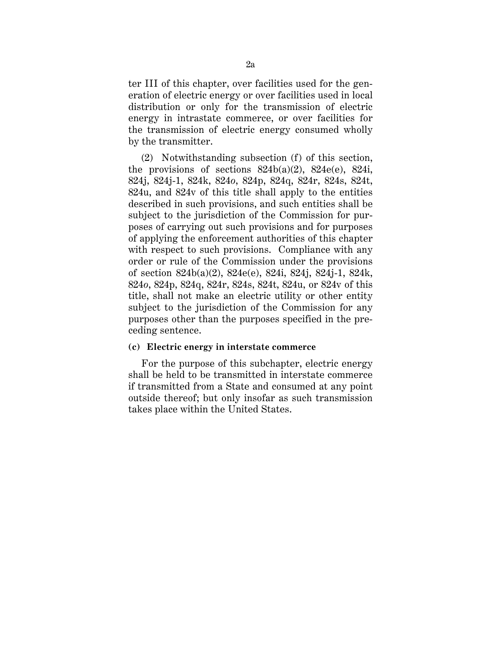ter III of this chapter, over facilities used for the generation of electric energy or over facilities used in local distribution or only for the transmission of electric energy in intrastate commerce, or over facilities for the transmission of electric energy consumed wholly by the transmitter.

(2) Notwithstanding subsection (f) of this section, the provisions of sections  $824b(a)(2)$ ,  $824e(e)$ ,  $824i$ , 824j, 824j-1, 824k, 824*o*, 824p, 824q, 824r, 824s, 824t, 824u, and 824v of this title shall apply to the entities described in such provisions, and such entities shall be subject to the jurisdiction of the Commission for purposes of carrying out such provisions and for purposes of applying the enforcement authorities of this chapter with respect to such provisions. Compliance with any order or rule of the Commission under the provisions of section 824b(a)(2), 824e(e), 824i, 824j, 824j-1, 824k, 824*o*, 824p, 824q, 824r, 824s, 824t, 824u, or 824v of this title, shall not make an electric utility or other entity subject to the jurisdiction of the Commission for any purposes other than the purposes specified in the preceding sentence.

#### **(c) Electric energy in interstate commerce**

For the purpose of this subchapter, electric energy shall be held to be transmitted in interstate commerce if transmitted from a State and consumed at any point outside thereof; but only insofar as such transmission takes place within the United States.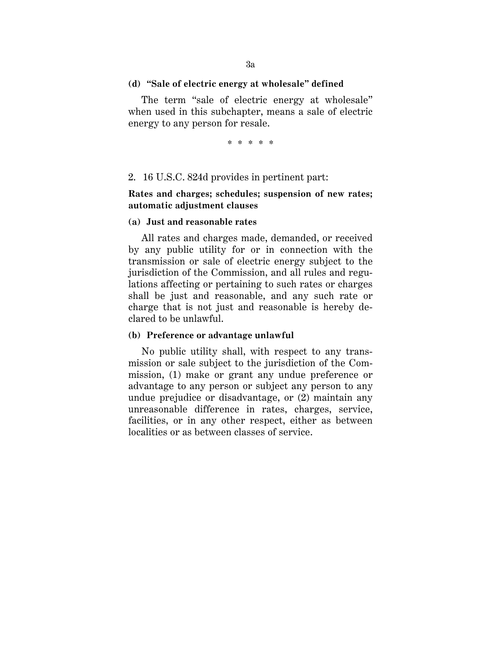#### **(d) "Sale of electric energy at wholesale" defined**

The term "sale of electric energy at wholesale" when used in this subchapter, means a sale of electric energy to any person for resale.

\* \* \* \* \*

### 2. 16 U.S.C. 824d provides in pertinent part:

## **Rates and charges; schedules; suspension of new rates; automatic adjustment clauses**

#### **(a) Just and reasonable rates**

All rates and charges made, demanded, or received by any public utility for or in connection with the transmission or sale of electric energy subject to the jurisdiction of the Commission, and all rules and regulations affecting or pertaining to such rates or charges shall be just and reasonable, and any such rate or charge that is not just and reasonable is hereby declared to be unlawful.

### **(b) Preference or advantage unlawful**

No public utility shall, with respect to any transmission or sale subject to the jurisdiction of the Commission, (1) make or grant any undue preference or advantage to any person or subject any person to any undue prejudice or disadvantage, or (2) maintain any unreasonable difference in rates, charges, service, facilities, or in any other respect, either as between localities or as between classes of service.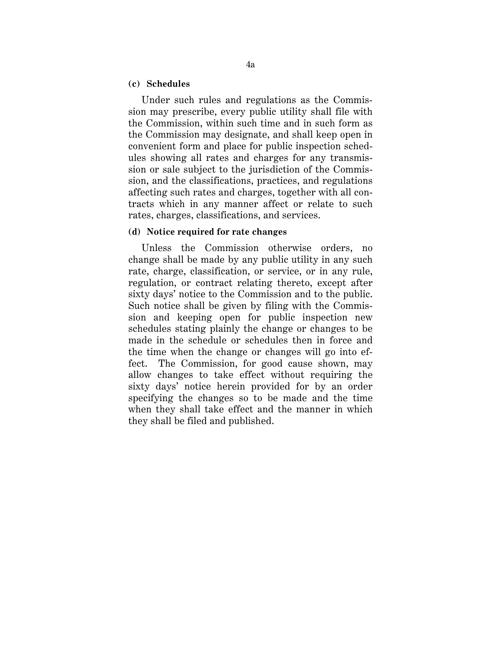#### **(c) Schedules**

Under such rules and regulations as the Commission may prescribe, every public utility shall file with the Commission, within such time and in such form as the Commission may designate, and shall keep open in convenient form and place for public inspection schedules showing all rates and charges for any transmission or sale subject to the jurisdiction of the Commission, and the classifications, practices, and regulations affecting such rates and charges, together with all contracts which in any manner affect or relate to such rates, charges, classifications, and services.

#### **(d) Notice required for rate changes**

Unless the Commission otherwise orders, no change shall be made by any public utility in any such rate, charge, classification, or service, or in any rule, regulation, or contract relating thereto, except after sixty days' notice to the Commission and to the public. Such notice shall be given by filing with the Commission and keeping open for public inspection new schedules stating plainly the change or changes to be made in the schedule or schedules then in force and the time when the change or changes will go into effect. The Commission, for good cause shown, may allow changes to take effect without requiring the sixty days' notice herein provided for by an order specifying the changes so to be made and the time when they shall take effect and the manner in which they shall be filed and published.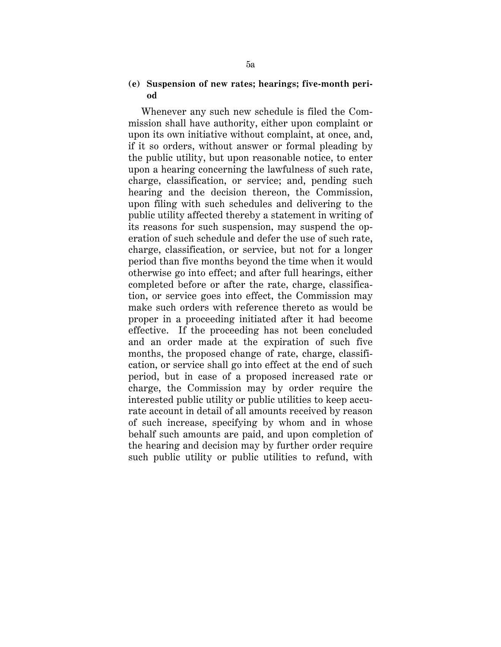# **(e) Suspension of new rates; hearings; five-month period**

Whenever any such new schedule is filed the Commission shall have authority, either upon complaint or upon its own initiative without complaint, at once, and, if it so orders, without answer or formal pleading by the public utility, but upon reasonable notice, to enter upon a hearing concerning the lawfulness of such rate, charge, classification, or service; and, pending such hearing and the decision thereon, the Commission, upon filing with such schedules and delivering to the public utility affected thereby a statement in writing of its reasons for such suspension, may suspend the operation of such schedule and defer the use of such rate, charge, classification, or service, but not for a longer period than five months beyond the time when it would otherwise go into effect; and after full hearings, either completed before or after the rate, charge, classification, or service goes into effect, the Commission may make such orders with reference thereto as would be proper in a proceeding initiated after it had become effective. If the proceeding has not been concluded and an order made at the expiration of such five months, the proposed change of rate, charge, classification, or service shall go into effect at the end of such period, but in case of a proposed increased rate or charge, the Commission may by order require the interested public utility or public utilities to keep accurate account in detail of all amounts received by reason of such increase, specifying by whom and in whose behalf such amounts are paid, and upon completion of the hearing and decision may by further order require such public utility or public utilities to refund, with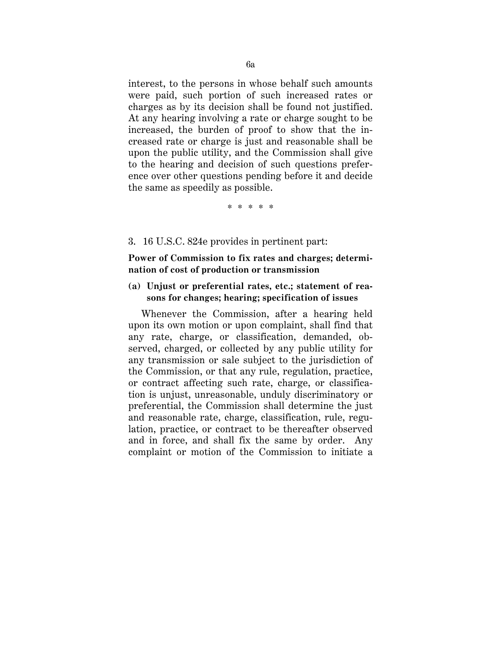interest, to the persons in whose behalf such amounts were paid, such portion of such increased rates or charges as by its decision shall be found not justified. At any hearing involving a rate or charge sought to be increased, the burden of proof to show that the increased rate or charge is just and reasonable shall be upon the public utility, and the Commission shall give to the hearing and decision of such questions preference over other questions pending before it and decide the same as speedily as possible.

\* \* \* \* \*

#### 3. 16 U.S.C. 824e provides in pertinent part:

**Power of Commission to fix rates and charges; determination of cost of production or transmission**

# **(a) Unjust or preferential rates, etc.; statement of reasons for changes; hearing; specification of issues**

Whenever the Commission, after a hearing held upon its own motion or upon complaint, shall find that any rate, charge, or classification, demanded, observed, charged, or collected by any public utility for any transmission or sale subject to the jurisdiction of the Commission, or that any rule, regulation, practice, or contract affecting such rate, charge, or classification is unjust, unreasonable, unduly discriminatory or preferential, the Commission shall determine the just and reasonable rate, charge, classification, rule, regulation, practice, or contract to be thereafter observed and in force, and shall fix the same by order. Any complaint or motion of the Commission to initiate a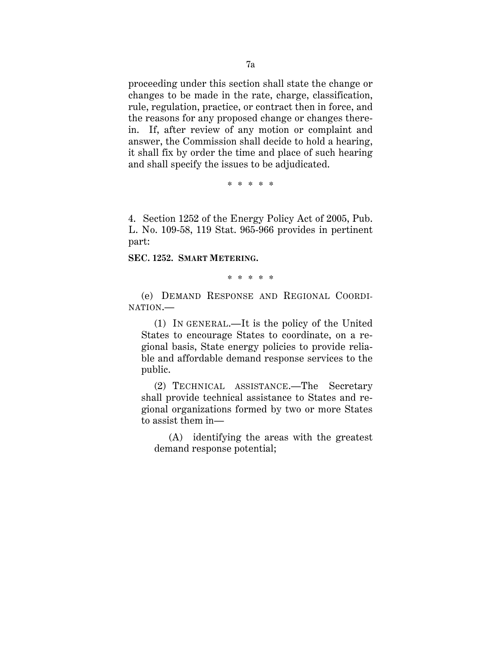proceeding under this section shall state the change or changes to be made in the rate, charge, classification, rule, regulation, practice, or contract then in force, and the reasons for any proposed change or changes therein. If, after review of any motion or complaint and answer, the Commission shall decide to hold a hearing, it shall fix by order the time and place of such hearing and shall specify the issues to be adjudicated.

\* \* \* \* \*

4. Section 1252 of the Energy Policy Act of 2005, Pub. L. No. 109-58, 119 Stat. 965-966 provides in pertinent part:

**SEC. 1252. SMART METERING.**

\* \* \* \* \*

(e) DEMAND RESPONSE AND REGIONAL COORDI-NATION.—

(1) IN GENERAL.—It is the policy of the United States to encourage States to coordinate, on a regional basis, State energy policies to provide reliable and affordable demand response services to the public.

(2) TECHNICAL ASSISTANCE.—The Secretary shall provide technical assistance to States and regional organizations formed by two or more States to assist them in—

(A) identifying the areas with the greatest demand response potential;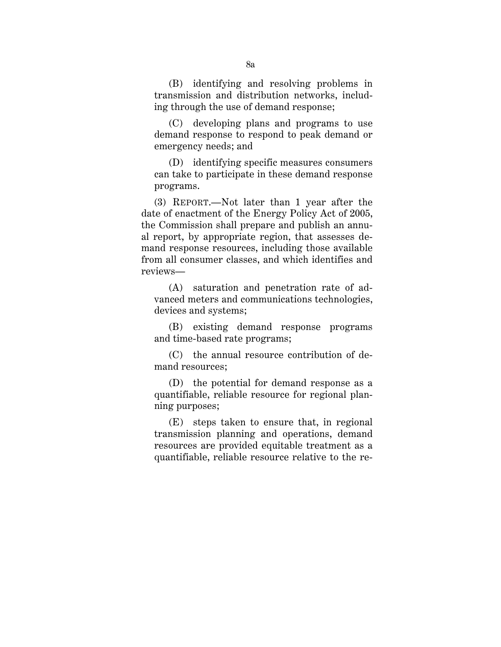(B) identifying and resolving problems in transmission and distribution networks, including through the use of demand response;

(C) developing plans and programs to use demand response to respond to peak demand or emergency needs; and

(D) identifying specific measures consumers can take to participate in these demand response programs.

(3) REPORT.—Not later than 1 year after the date of enactment of the Energy Policy Act of 2005, the Commission shall prepare and publish an annual report, by appropriate region, that assesses demand response resources, including those available from all consumer classes, and which identifies and reviews—

(A) saturation and penetration rate of advanced meters and communications technologies, devices and systems;

(B) existing demand response programs and time-based rate programs;

(C) the annual resource contribution of demand resources;

(D) the potential for demand response as a quantifiable, reliable resource for regional planning purposes;

(E) steps taken to ensure that, in regional transmission planning and operations, demand resources are provided equitable treatment as a quantifiable, reliable resource relative to the re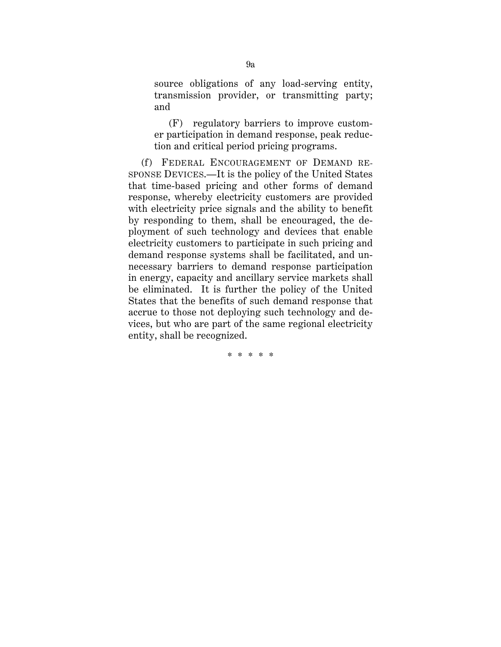source obligations of any load-serving entity, transmission provider, or transmitting party; and

(F) regulatory barriers to improve customer participation in demand response, peak reduction and critical period pricing programs.

(f) FEDERAL ENCOURAGEMENT OF DEMAND RE-SPONSE DEVICES.—It is the policy of the United States that time-based pricing and other forms of demand response, whereby electricity customers are provided with electricity price signals and the ability to benefit by responding to them, shall be encouraged, the deployment of such technology and devices that enable electricity customers to participate in such pricing and demand response systems shall be facilitated, and unnecessary barriers to demand response participation in energy, capacity and ancillary service markets shall be eliminated. It is further the policy of the United States that the benefits of such demand response that accrue to those not deploying such technology and devices, but who are part of the same regional electricity entity, shall be recognized.

\* \* \* \* \*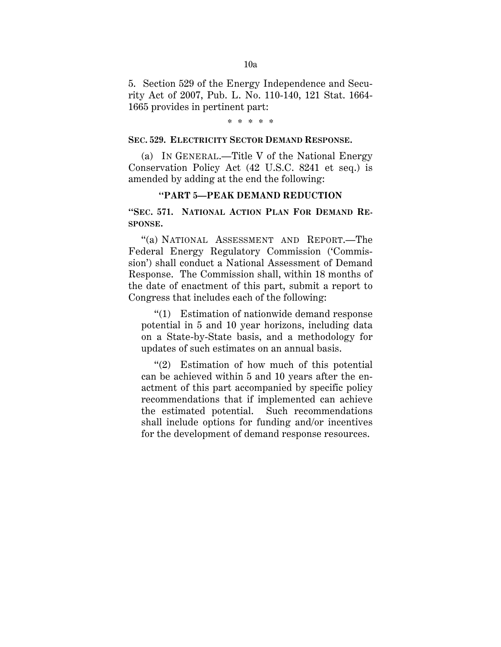5. Section 529 of the Energy Independence and Security Act of 2007, Pub. L. No. 110-140, 121 Stat. 1664- 1665 provides in pertinent part:

\* \* \* \* \*

## **SEC. 529. ELECTRICITY SECTOR DEMAND RESPONSE.**

(a) IN GENERAL.—Title V of the National Energy Conservation Policy Act (42 U.S.C. 8241 et seq.) is amended by adding at the end the following:

#### **''PART 5—PEAK DEMAND REDUCTION**

**''SEC. 571. NATIONAL ACTION PLAN FOR DEMAND RE-SPONSE.**

''(a) NATIONAL ASSESSMENT AND REPORT.—The Federal Energy Regulatory Commission ('Commission') shall conduct a National Assessment of Demand Response. The Commission shall, within 18 months of the date of enactment of this part, submit a report to Congress that includes each of the following:

''(1) Estimation of nationwide demand response potential in 5 and 10 year horizons, including data on a State-by-State basis, and a methodology for updates of such estimates on an annual basis.

''(2) Estimation of how much of this potential can be achieved within 5 and 10 years after the enactment of this part accompanied by specific policy recommendations that if implemented can achieve the estimated potential. Such recommendations shall include options for funding and/or incentives for the development of demand response resources.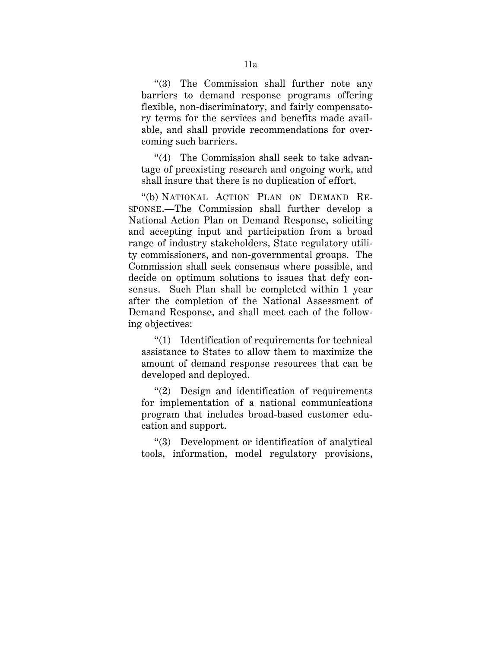''(3) The Commission shall further note any barriers to demand response programs offering flexible, non-discriminatory, and fairly compensatory terms for the services and benefits made available, and shall provide recommendations for overcoming such barriers.

"(4) The Commission shall seek to take advantage of preexisting research and ongoing work, and shall insure that there is no duplication of effort.

''(b) NATIONAL ACTION PLAN ON DEMAND RE-SPONSE.—The Commission shall further develop a National Action Plan on Demand Response, soliciting and accepting input and participation from a broad range of industry stakeholders, State regulatory utility commissioners, and non-governmental groups. The Commission shall seek consensus where possible, and decide on optimum solutions to issues that defy consensus. Such Plan shall be completed within 1 year after the completion of the National Assessment of Demand Response, and shall meet each of the following objectives:

''(1) Identification of requirements for technical assistance to States to allow them to maximize the amount of demand response resources that can be developed and deployed.

''(2) Design and identification of requirements for implementation of a national communications program that includes broad-based customer education and support.

''(3) Development or identification of analytical tools, information, model regulatory provisions,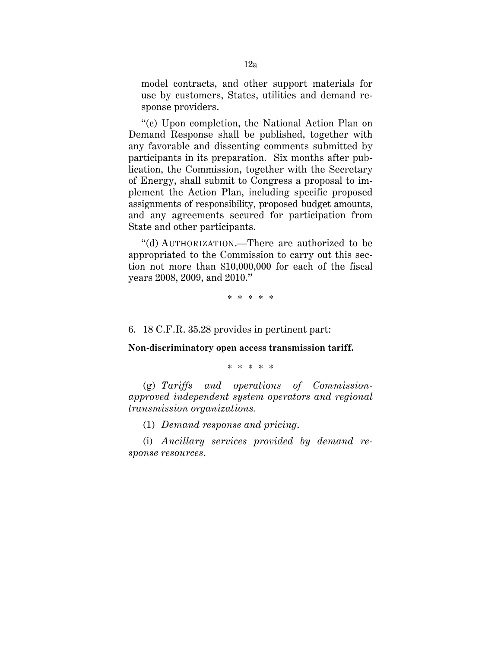model contracts, and other support materials for use by customers, States, utilities and demand response providers.

''(c) Upon completion, the National Action Plan on Demand Response shall be published, together with any favorable and dissenting comments submitted by participants in its preparation. Six months after publication, the Commission, together with the Secretary of Energy, shall submit to Congress a proposal to implement the Action Plan, including specific proposed assignments of responsibility, proposed budget amounts, and any agreements secured for participation from State and other participants.

''(d) AUTHORIZATION.—There are authorized to be appropriated to the Commission to carry out this section not more than \$10,000,000 for each of the fiscal years 2008, 2009, and 2010.''

\* \* \* \* \*

6. 18 C.F.R. 35.28 provides in pertinent part:

**Non-discriminatory open access transmission tariff.**

\* \* \* \* \*

(g) *Tariffs and operations of Commissionapproved independent system operators and regional transmission organizations.*

(1) *Demand response and pricing*.

(i) *Ancillary services provided by demand response resources*.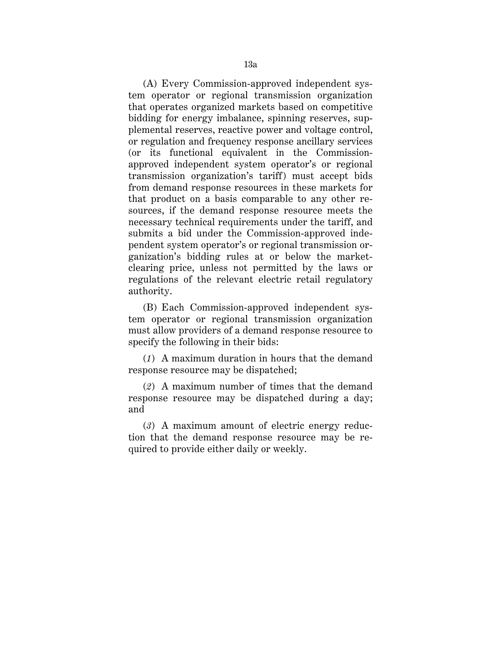(A) Every Commission-approved independent system operator or regional transmission organization that operates organized markets based on competitive bidding for energy imbalance, spinning reserves, supplemental reserves, reactive power and voltage control, or regulation and frequency response ancillary services (or its functional equivalent in the Commissionapproved independent system operator's or regional transmission organization's tariff) must accept bids from demand response resources in these markets for that product on a basis comparable to any other resources, if the demand response resource meets the necessary technical requirements under the tariff, and submits a bid under the Commission-approved independent system operator's or regional transmission organization's bidding rules at or below the marketclearing price, unless not permitted by the laws or regulations of the relevant electric retail regulatory authority.

(B) Each Commission-approved independent system operator or regional transmission organization must allow providers of a demand response resource to specify the following in their bids:

(*1*) A maximum duration in hours that the demand response resource may be dispatched;

(*2*) A maximum number of times that the demand response resource may be dispatched during a day; and

(*3*) A maximum amount of electric energy reduction that the demand response resource may be required to provide either daily or weekly.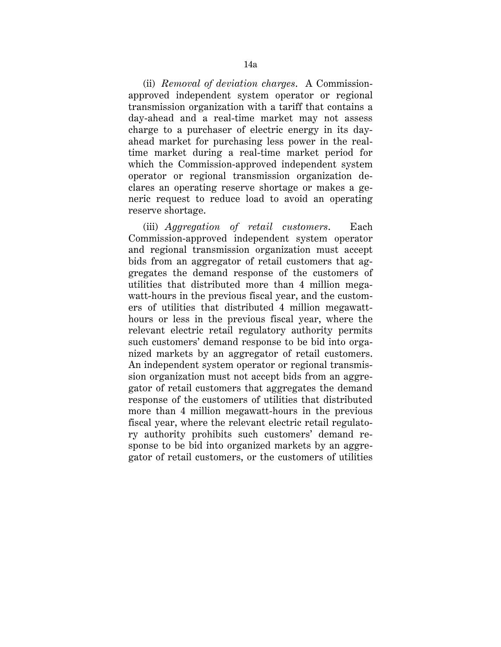(ii) *Removal of deviation charges*. A Commissionapproved independent system operator or regional transmission organization with a tariff that contains a day-ahead and a real-time market may not assess charge to a purchaser of electric energy in its dayahead market for purchasing less power in the realtime market during a real-time market period for which the Commission-approved independent system operator or regional transmission organization declares an operating reserve shortage or makes a generic request to reduce load to avoid an operating reserve shortage.

(iii) *Aggregation of retail customers*. Each Commission-approved independent system operator and regional transmission organization must accept bids from an aggregator of retail customers that aggregates the demand response of the customers of utilities that distributed more than 4 million megawatt-hours in the previous fiscal year, and the customers of utilities that distributed 4 million megawatthours or less in the previous fiscal year, where the relevant electric retail regulatory authority permits such customers' demand response to be bid into organized markets by an aggregator of retail customers. An independent system operator or regional transmission organization must not accept bids from an aggregator of retail customers that aggregates the demand response of the customers of utilities that distributed more than 4 million megawatt-hours in the previous fiscal year, where the relevant electric retail regulatory authority prohibits such customers' demand response to be bid into organized markets by an aggregator of retail customers, or the customers of utilities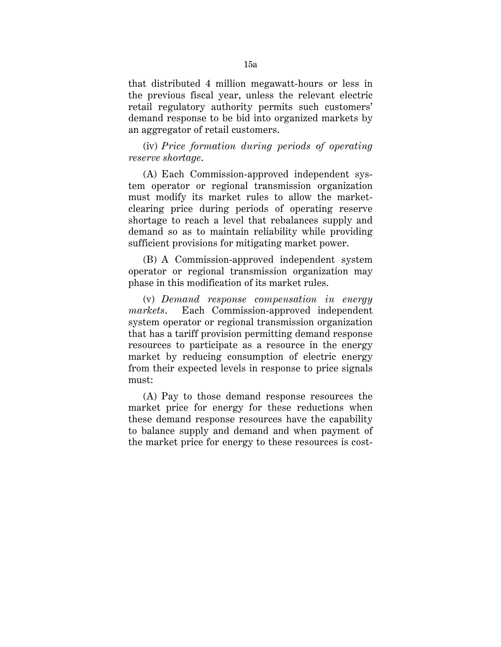that distributed 4 million megawatt-hours or less in the previous fiscal year, unless the relevant electric retail regulatory authority permits such customers' demand response to be bid into organized markets by an aggregator of retail customers.

(iv) *Price formation during periods of operating reserve shortage*.

(A) Each Commission-approved independent system operator or regional transmission organization must modify its market rules to allow the marketclearing price during periods of operating reserve shortage to reach a level that rebalances supply and demand so as to maintain reliability while providing sufficient provisions for mitigating market power.

(B) A Commission-approved independent system operator or regional transmission organization may phase in this modification of its market rules.

(v) *Demand response compensation in energy markets*. Each Commission-approved independent system operator or regional transmission organization that has a tariff provision permitting demand response resources to participate as a resource in the energy market by reducing consumption of electric energy from their expected levels in response to price signals must:

(A) Pay to those demand response resources the market price for energy for these reductions when these demand response resources have the capability to balance supply and demand and when payment of the market price for energy to these resources is cost